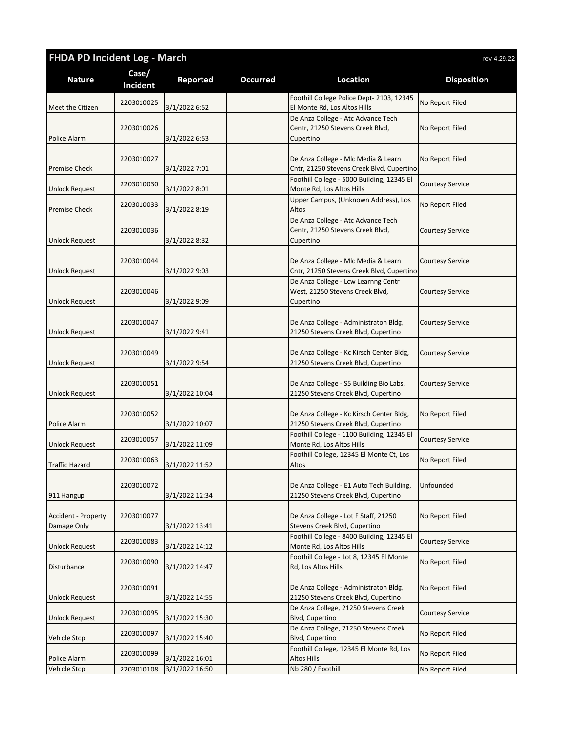| <b>FHDA PD Incident Log - March</b> |                          |                |                 | rev 4.29.22                                                                         |                         |  |
|-------------------------------------|--------------------------|----------------|-----------------|-------------------------------------------------------------------------------------|-------------------------|--|
| <b>Nature</b>                       | Case/<br><b>Incident</b> | Reported       | <b>Occurred</b> | Location                                                                            | <b>Disposition</b>      |  |
| Meet the Citizen                    | 2203010025               | 3/1/2022 6:52  |                 | Foothill College Police Dept- 2103, 12345<br>El Monte Rd, Los Altos Hills           | No Report Filed         |  |
| Police Alarm                        | 2203010026               | 3/1/2022 6:53  |                 | De Anza College - Atc Advance Tech<br>Centr, 21250 Stevens Creek Blvd,<br>Cupertino | No Report Filed         |  |
| <b>Premise Check</b>                | 2203010027               | 3/1/2022 7:01  |                 | De Anza College - Mlc Media & Learn<br>Cntr, 21250 Stevens Creek Blvd, Cupertino    | No Report Filed         |  |
| <b>Unlock Request</b>               | 2203010030               | 3/1/2022 8:01  |                 | Foothill College - 5000 Building, 12345 El<br>Monte Rd, Los Altos Hills             | Courtesy Service        |  |
| <b>Premise Check</b>                | 2203010033               | 3/1/2022 8:19  |                 | Upper Campus, (Unknown Address), Los<br>Altos                                       | No Report Filed         |  |
| <b>Unlock Request</b>               | 2203010036               | 3/1/2022 8:32  |                 | De Anza College - Atc Advance Tech<br>Centr, 21250 Stevens Creek Blvd,<br>Cupertino | Courtesy Service        |  |
| <b>Unlock Request</b>               | 2203010044               | 3/1/2022 9:03  |                 | De Anza College - Mlc Media & Learn<br>Cntr, 21250 Stevens Creek Blvd, Cupertino    | Courtesy Service        |  |
| <b>Unlock Request</b>               | 2203010046               | 3/1/2022 9:09  |                 | De Anza College - Lcw Learnng Centr<br>West, 21250 Stevens Creek Blvd,<br>Cupertino | <b>Courtesy Service</b> |  |
| <b>Unlock Request</b>               | 2203010047               | 3/1/2022 9:41  |                 | De Anza College - Administraton Bldg,<br>21250 Stevens Creek Blvd, Cupertino        | Courtesy Service        |  |
| Unlock Request                      | 2203010049               | 3/1/2022 9:54  |                 | De Anza College - Kc Kirsch Center Bldg,<br>21250 Stevens Creek Blvd, Cupertino     | Courtesy Service        |  |
| <b>Unlock Request</b>               | 2203010051               | 3/1/2022 10:04 |                 | De Anza College - S5 Building Bio Labs,<br>21250 Stevens Creek Blvd, Cupertino      | Courtesy Service        |  |
| Police Alarm                        | 2203010052               | 3/1/2022 10:07 |                 | De Anza College - Kc Kirsch Center Bldg,<br>21250 Stevens Creek Blvd, Cupertino     | No Report Filed         |  |
| <b>Unlock Request</b>               | 2203010057               | 3/1/2022 11:09 |                 | Foothill College - 1100 Building, 12345 El<br>Monte Rd, Los Altos Hills             | Courtesy Service        |  |
| <b>Traffic Hazard</b>               | 2203010063               | 3/1/2022 11:52 |                 | Foothill College, 12345 El Monte Ct, Los<br>Altos                                   | No Report Filed         |  |
| 911 Hangup                          | 2203010072               | 3/1/2022 12:34 |                 | De Anza College - E1 Auto Tech Building,<br>21250 Stevens Creek Blvd, Cupertino     | Unfounded               |  |
| Accident - Property<br>Damage Only  | 2203010077               | 3/1/2022 13:41 |                 | De Anza College - Lot F Staff, 21250<br>Stevens Creek Blvd, Cupertino               | No Report Filed         |  |
| <b>Unlock Request</b>               | 2203010083               | 3/1/2022 14:12 |                 | Foothill College - 8400 Building, 12345 El<br>Monte Rd, Los Altos Hills             | <b>Courtesy Service</b> |  |
| Disturbance                         | 2203010090               | 3/1/2022 14:47 |                 | Foothill College - Lot 8, 12345 El Monte<br>Rd, Los Altos Hills                     | No Report Filed         |  |
| <b>Unlock Request</b>               | 2203010091               | 3/1/2022 14:55 |                 | De Anza College - Administraton Bldg,<br>21250 Stevens Creek Blvd, Cupertino        | No Report Filed         |  |
| <b>Unlock Request</b>               | 2203010095               | 3/1/2022 15:30 |                 | De Anza College, 21250 Stevens Creek<br>Blvd, Cupertino                             | <b>Courtesy Service</b> |  |
| Vehicle Stop                        | 2203010097               | 3/1/2022 15:40 |                 | De Anza College, 21250 Stevens Creek<br>Blvd, Cupertino                             | No Report Filed         |  |
| Police Alarm                        | 2203010099               | 3/1/2022 16:01 |                 | Foothill College, 12345 El Monte Rd, Los<br>Altos Hills                             | No Report Filed         |  |
| Vehicle Stop                        | 2203010108               | 3/1/2022 16:50 |                 | Nb 280 / Foothill                                                                   | No Report Filed         |  |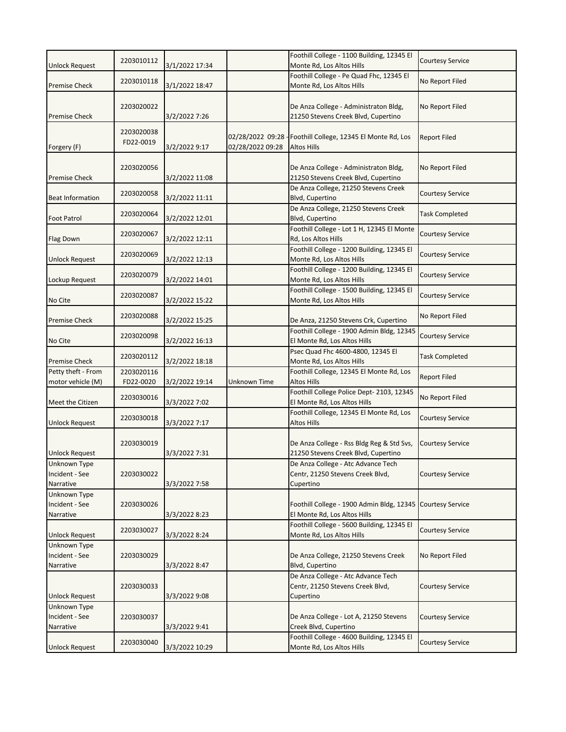|                                | 2203010112 |                |                  | Foothill College - 1100 Building, 12345 El                              | <b>Courtesy Service</b> |
|--------------------------------|------------|----------------|------------------|-------------------------------------------------------------------------|-------------------------|
| <b>Unlock Request</b>          |            | 3/1/2022 17:34 |                  | Monte Rd, Los Altos Hills                                               |                         |
|                                | 2203010118 |                |                  | Foothill College - Pe Quad Fhc, 12345 El<br>Monte Rd, Los Altos Hills   | No Report Filed         |
| <b>Premise Check</b>           |            | 3/1/2022 18:47 |                  |                                                                         |                         |
|                                | 2203020022 |                |                  | De Anza College - Administraton Bldg,                                   | No Report Filed         |
| <b>Premise Check</b>           |            | 3/2/2022 7:26  |                  | 21250 Stevens Creek Blvd, Cupertino                                     |                         |
|                                | 2203020038 |                |                  |                                                                         |                         |
|                                | FD22-0019  |                | 02/28/2022 09:28 | Foothill College, 12345 El Monte Rd, Los                                | <b>Report Filed</b>     |
| Forgery (F)                    |            | 3/2/2022 9:17  | 02/28/2022 09:28 | <b>Altos Hills</b>                                                      |                         |
|                                | 2203020056 |                |                  | De Anza College - Administraton Bldg,                                   | No Report Filed         |
| <b>Premise Check</b>           |            | 3/2/2022 11:08 |                  | 21250 Stevens Creek Blvd, Cupertino                                     |                         |
|                                |            |                |                  | De Anza College, 21250 Stevens Creek                                    |                         |
| <b>Beat Information</b>        | 2203020058 | 3/2/2022 11:11 |                  | Blvd, Cupertino                                                         | Courtesy Service        |
|                                | 2203020064 |                |                  | De Anza College, 21250 Stevens Creek                                    | <b>Task Completed</b>   |
| <b>Foot Patrol</b>             |            | 3/2/2022 12:01 |                  | Blvd, Cupertino<br>Foothill College - Lot 1 H, 12345 El Monte           |                         |
| Flag Down                      | 2203020067 | 3/2/2022 12:11 |                  | Rd, Los Altos Hills                                                     | <b>Courtesy Service</b> |
|                                |            |                |                  | Foothill College - 1200 Building, 12345 El                              |                         |
| <b>Unlock Request</b>          | 2203020069 | 3/2/2022 12:13 |                  | Monte Rd, Los Altos Hills                                               | Courtesy Service        |
|                                | 2203020079 |                |                  | Foothill College - 1200 Building, 12345 El                              | <b>Courtesy Service</b> |
| Lockup Request                 |            | 3/2/2022 14:01 |                  | Monte Rd, Los Altos Hills<br>Foothill College - 1500 Building, 12345 El |                         |
| No Cite                        | 2203020087 | 3/2/2022 15:22 |                  | Monte Rd, Los Altos Hills                                               | <b>Courtesy Service</b> |
|                                |            |                |                  |                                                                         |                         |
| <b>Premise Check</b>           | 2203020088 | 3/2/2022 15:25 |                  | De Anza, 21250 Stevens Crk, Cupertino                                   | No Report Filed         |
|                                | 2203020098 |                |                  | Foothill College - 1900 Admin Bldg, 12345                               | Courtesy Service        |
| No Cite                        |            | 3/2/2022 16:13 |                  | El Monte Rd, Los Altos Hills                                            |                         |
| <b>Premise Check</b>           | 2203020112 | 3/2/2022 18:18 |                  | Psec Quad Fhc 4600-4800, 12345 El<br>Monte Rd, Los Altos Hills          | <b>Task Completed</b>   |
| Petty theft - From             | 2203020116 |                |                  | Foothill College, 12345 El Monte Rd, Los                                |                         |
| motor vehicle (M)              | FD22-0020  | 3/2/2022 19:14 | Unknown Time     | Altos Hills                                                             | <b>Report Filed</b>     |
|                                | 2203030016 |                |                  | Foothill College Police Dept-2103, 12345                                | No Report Filed         |
| Meet the Citizen               |            | 3/3/2022 7:02  |                  | El Monte Rd, Los Altos Hills                                            |                         |
| <b>Unlock Request</b>          | 2203030018 | 3/3/2022 7:17  |                  | Foothill College, 12345 El Monte Rd, Los<br>Altos Hills                 | <b>Courtesy Service</b> |
|                                |            |                |                  |                                                                         |                         |
|                                | 2203030019 |                |                  | De Anza College - Rss Bldg Reg & Std Svs,                               | <b>Courtesy Service</b> |
| Unlock Request                 |            | 3/3/2022 7:31  |                  | 21250 Stevens Creek Blvd, Cupertino                                     |                         |
| <b>Unknown Type</b>            |            |                |                  | De Anza College - Atc Advance Tech                                      |                         |
| Incident - See<br>Narrative    | 2203030022 | 3/3/2022 7:58  |                  | Centr, 21250 Stevens Creek Blvd,<br>Cupertino                           | <b>Courtesy Service</b> |
| Unknown Type                   |            |                |                  |                                                                         |                         |
| Incident - See                 | 2203030026 |                |                  | Foothill College - 1900 Admin Bldg, 12345 Courtesy Service              |                         |
| Narrative                      |            | 3/3/2022 8:23  |                  | El Monte Rd, Los Altos Hills                                            |                         |
|                                | 2203030027 |                |                  | Foothill College - 5600 Building, 12345 El                              | <b>Courtesy Service</b> |
| <b>Unlock Request</b>          |            | 3/3/2022 8:24  |                  | Monte Rd, Los Altos Hills                                               |                         |
| Unknown Type<br>Incident - See | 2203030029 |                |                  | De Anza College, 21250 Stevens Creek                                    | No Report Filed         |
| Narrative                      |            | 3/3/2022 8:47  |                  | Blvd, Cupertino                                                         |                         |
|                                |            |                |                  | De Anza College - Atc Advance Tech                                      |                         |
|                                | 2203030033 |                |                  | Centr, 21250 Stevens Creek Blvd,                                        | Courtesy Service        |
| <b>Unlock Request</b>          |            | 3/3/2022 9:08  |                  | Cupertino                                                               |                         |
| Unknown Type                   |            |                |                  |                                                                         |                         |
| Incident - See<br>Narrative    | 2203030037 | 3/3/2022 9:41  |                  | De Anza College - Lot A, 21250 Stevens<br>Creek Blvd, Cupertino         | Courtesy Service        |
|                                |            |                |                  | Foothill College - 4600 Building, 12345 El                              |                         |
| <b>Unlock Request</b>          | 2203030040 | 3/3/2022 10:29 |                  | Monte Rd, Los Altos Hills                                               | Courtesy Service        |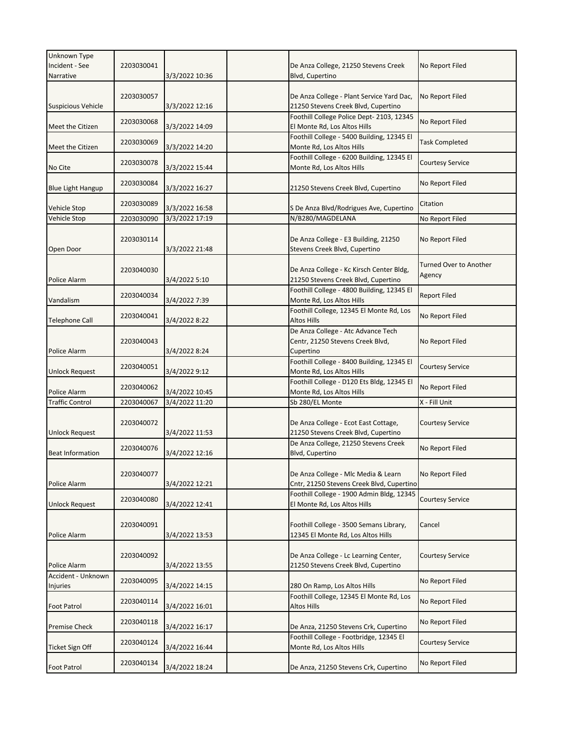| Unknown Type<br>Incident - See<br>Narrative | 2203030041 | 3/3/2022 10:36 | De Anza College, 21250 Stevens Creek<br>Blvd, Cupertino                             | No Report Filed                         |
|---------------------------------------------|------------|----------------|-------------------------------------------------------------------------------------|-----------------------------------------|
| <b>Suspicious Vehicle</b>                   | 2203030057 | 3/3/2022 12:16 | De Anza College - Plant Service Yard Dac,<br>21250 Stevens Creek Blvd, Cupertino    | No Report Filed                         |
| Meet the Citizen                            | 2203030068 | 3/3/2022 14:09 | Foothill College Police Dept- 2103, 12345<br>El Monte Rd, Los Altos Hills           | No Report Filed                         |
| Meet the Citizen                            | 2203030069 | 3/3/2022 14:20 | Foothill College - 5400 Building, 12345 El<br>Monte Rd, Los Altos Hills             | <b>Task Completed</b>                   |
| No Cite                                     | 2203030078 | 3/3/2022 15:44 | Foothill College - 6200 Building, 12345 El<br>Monte Rd, Los Altos Hills             | <b>Courtesy Service</b>                 |
| <b>Blue Light Hangup</b>                    | 2203030084 | 3/3/2022 16:27 | 21250 Stevens Creek Blvd, Cupertino                                                 | No Report Filed                         |
| Vehicle Stop                                | 2203030089 | 3/3/2022 16:58 | S De Anza Blvd/Rodrigues Ave, Cupertino                                             | Citation                                |
| Vehicle Stop                                | 2203030090 | 3/3/2022 17:19 | N/B280/MAGDELANA                                                                    | No Report Filed                         |
| Open Door                                   | 2203030114 | 3/3/2022 21:48 | De Anza College - E3 Building, 21250<br>Stevens Creek Blvd, Cupertino               | No Report Filed                         |
| Police Alarm                                | 2203040030 | 3/4/2022 5:10  | De Anza College - Kc Kirsch Center Bldg,<br>21250 Stevens Creek Blvd, Cupertino     | <b>Turned Over to Another</b><br>Agency |
| Vandalism                                   | 2203040034 | 3/4/2022 7:39  | Foothill College - 4800 Building, 12345 El<br>Monte Rd, Los Altos Hills             | <b>Report Filed</b>                     |
| <b>Telephone Call</b>                       | 2203040041 | 3/4/2022 8:22  | Foothill College, 12345 El Monte Rd, Los<br>Altos Hills                             | No Report Filed                         |
| Police Alarm                                | 2203040043 | 3/4/2022 8:24  | De Anza College - Atc Advance Tech<br>Centr, 21250 Stevens Creek Blvd,<br>Cupertino | No Report Filed                         |
| <b>Unlock Request</b>                       | 2203040051 | 3/4/2022 9:12  | Foothill College - 8400 Building, 12345 El<br>Monte Rd, Los Altos Hills             | <b>Courtesy Service</b>                 |
| Police Alarm                                | 2203040062 | 3/4/2022 10:45 | Foothill College - D120 Ets Bldg, 12345 El<br>Monte Rd, Los Altos Hills             | No Report Filed                         |
| <b>Traffic Control</b>                      | 2203040067 | 3/4/2022 11:20 | Sb 280/EL Monte                                                                     | X - Fill Unit                           |
| <b>Unlock Request</b>                       | 2203040072 | 3/4/2022 11:53 | De Anza College - Ecot East Cottage,<br>21250 Stevens Creek Blvd, Cupertino         | <b>Courtesy Service</b>                 |
| <b>Beat Information</b>                     | 2203040076 | 3/4/2022 12:16 | De Anza College, 21250 Stevens Creek<br>Blvd, Cupertino                             | No Report Filed                         |
| Police Alarm                                | 2203040077 | 3/4/2022 12:21 | De Anza College - Mlc Media & Learn<br>Cntr, 21250 Stevens Creek Blvd, Cupertino    | No Report Filed                         |
| <b>Unlock Request</b>                       | 2203040080 | 3/4/2022 12:41 | Foothill College - 1900 Admin Bldg, 12345<br>El Monte Rd, Los Altos Hills           | <b>Courtesy Service</b>                 |
| Police Alarm                                | 2203040091 | 3/4/2022 13:53 | Foothill College - 3500 Semans Library,<br>12345 El Monte Rd, Los Altos Hills       | Cancel                                  |
| <b>Police Alarm</b>                         | 2203040092 | 3/4/2022 13:55 | De Anza College - Lc Learning Center,<br>21250 Stevens Creek Blvd, Cupertino        | <b>Courtesy Service</b>                 |
| Accident - Unknown<br>Injuries              | 2203040095 | 3/4/2022 14:15 | 280 On Ramp, Los Altos Hills                                                        | No Report Filed                         |
| <b>Foot Patrol</b>                          | 2203040114 | 3/4/2022 16:01 | Foothill College, 12345 El Monte Rd, Los<br>Altos Hills                             | No Report Filed                         |
| <b>Premise Check</b>                        | 2203040118 | 3/4/2022 16:17 | De Anza, 21250 Stevens Crk, Cupertino                                               | No Report Filed                         |
| <b>Ticket Sign Off</b>                      | 2203040124 | 3/4/2022 16:44 | Foothill College - Footbridge, 12345 El<br>Monte Rd, Los Altos Hills                | <b>Courtesy Service</b>                 |
| <b>Foot Patrol</b>                          | 2203040134 | 3/4/2022 18:24 | De Anza, 21250 Stevens Crk, Cupertino                                               | No Report Filed                         |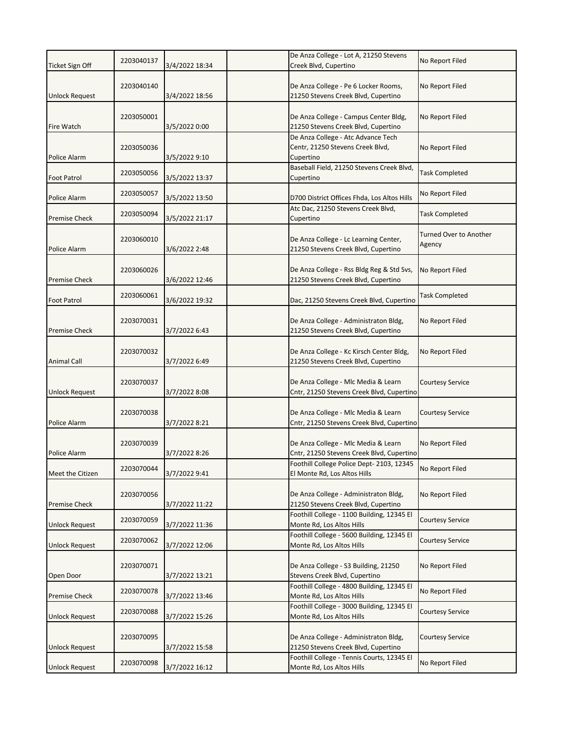| <b>Ticket Sign Off</b> | 2203040137 | 3/4/2022 18:34 | De Anza College - Lot A, 21250 Stevens<br>Creek Blvd, Cupertino                     | No Report Filed                         |
|------------------------|------------|----------------|-------------------------------------------------------------------------------------|-----------------------------------------|
| <b>Unlock Request</b>  | 2203040140 | 3/4/2022 18:56 | De Anza College - Pe 6 Locker Rooms,<br>21250 Stevens Creek Blvd, Cupertino         | No Report Filed                         |
| Fire Watch             | 2203050001 | 3/5/2022 0:00  | De Anza College - Campus Center Bldg,<br>21250 Stevens Creek Blvd, Cupertino        | No Report Filed                         |
| Police Alarm           | 2203050036 | 3/5/2022 9:10  | De Anza College - Atc Advance Tech<br>Centr, 21250 Stevens Creek Blvd,<br>Cupertino | No Report Filed                         |
| <b>Foot Patrol</b>     | 2203050056 | 3/5/2022 13:37 | Baseball Field, 21250 Stevens Creek Blvd,<br>Cupertino                              | <b>Task Completed</b>                   |
| Police Alarm           | 2203050057 | 3/5/2022 13:50 | D700 District Offices Fhda, Los Altos Hills                                         | No Report Filed                         |
| <b>Premise Check</b>   | 2203050094 | 3/5/2022 21:17 | Atc Dac, 21250 Stevens Creek Blvd,<br>Cupertino                                     | <b>Task Completed</b>                   |
| Police Alarm           | 2203060010 | 3/6/2022 2:48  | De Anza College - Lc Learning Center,<br>21250 Stevens Creek Blvd, Cupertino        | <b>Turned Over to Another</b><br>Agency |
| <b>Premise Check</b>   | 2203060026 | 3/6/2022 12:46 | De Anza College - Rss Bldg Reg & Std Svs,<br>21250 Stevens Creek Blvd, Cupertino    | No Report Filed                         |
| Foot Patrol            | 2203060061 | 3/6/2022 19:32 | Dac, 21250 Stevens Creek Blvd, Cupertino                                            | <b>Task Completed</b>                   |
| <b>Premise Check</b>   | 2203070031 | 3/7/2022 6:43  | De Anza College - Administraton Bldg,<br>21250 Stevens Creek Blvd, Cupertino        | No Report Filed                         |
| <b>Animal Call</b>     | 2203070032 | 3/7/2022 6:49  | De Anza College - Kc Kirsch Center Bldg,<br>21250 Stevens Creek Blvd, Cupertino     | No Report Filed                         |
| <b>Unlock Request</b>  | 2203070037 | 3/7/2022 8:08  | De Anza College - Mlc Media & Learn<br>Cntr, 21250 Stevens Creek Blvd, Cupertino    | <b>Courtesy Service</b>                 |
| Police Alarm           | 2203070038 | 3/7/2022 8:21  | De Anza College - Mlc Media & Learn<br>Cntr, 21250 Stevens Creek Blvd, Cupertino    | <b>Courtesy Service</b>                 |
| Police Alarm           | 2203070039 | 3/7/2022 8:26  | De Anza College - Mlc Media & Learn<br>Cntr, 21250 Stevens Creek Blvd, Cupertino    | No Report Filed                         |
| Meet the Citizen       | 2203070044 | 3/7/2022 9:41  | Foothill College Police Dept- 2103, 12345<br>El Monte Rd, Los Altos Hills           | No Report Filed                         |
| <b>Premise Check</b>   | 2203070056 | 3/7/2022 11:22 | De Anza College - Administraton Bldg,<br>21250 Stevens Creek Blvd, Cupertino        | No Report Filed                         |
| <b>Unlock Request</b>  | 2203070059 | 3/7/2022 11:36 | Foothill College - 1100 Building, 12345 El<br>Monte Rd, Los Altos Hills             | <b>Courtesy Service</b>                 |
| <b>Unlock Request</b>  | 2203070062 | 3/7/2022 12:06 | Foothill College - 5600 Building, 12345 El<br>Monte Rd, Los Altos Hills             | <b>Courtesy Service</b>                 |
| Open Door              | 2203070071 | 3/7/2022 13:21 | De Anza College - S3 Building, 21250<br>Stevens Creek Blvd, Cupertino               | No Report Filed                         |
| <b>Premise Check</b>   | 2203070078 | 3/7/2022 13:46 | Foothill College - 4800 Building, 12345 El<br>Monte Rd, Los Altos Hills             | No Report Filed                         |
| <b>Unlock Request</b>  | 2203070088 | 3/7/2022 15:26 | Foothill College - 3000 Building, 12345 El<br>Monte Rd, Los Altos Hills             | Courtesy Service                        |
| <b>Unlock Request</b>  | 2203070095 | 3/7/2022 15:58 | De Anza College - Administraton Bldg,<br>21250 Stevens Creek Blvd, Cupertino        | <b>Courtesy Service</b>                 |
| <b>Unlock Request</b>  | 2203070098 | 3/7/2022 16:12 | Foothill College - Tennis Courts, 12345 El<br>Monte Rd, Los Altos Hills             | No Report Filed                         |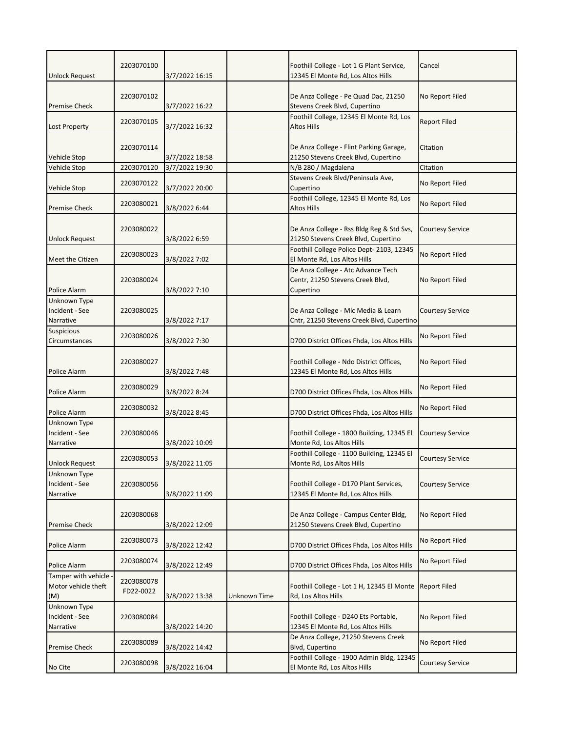| <b>Unlock Request</b>                             | 2203070100              | 3/7/2022 16:15 |              | Foothill College - Lot 1 G Plant Service,<br>12345 El Monte Rd, Los Altos Hills     | Cancel                  |
|---------------------------------------------------|-------------------------|----------------|--------------|-------------------------------------------------------------------------------------|-------------------------|
| <b>Premise Check</b>                              | 2203070102              | 3/7/2022 16:22 |              | De Anza College - Pe Quad Dac, 21250<br>Stevens Creek Blvd, Cupertino               | No Report Filed         |
| Lost Property                                     | 2203070105              | 3/7/2022 16:32 |              | Foothill College, 12345 El Monte Rd, Los<br>Altos Hills                             | <b>Report Filed</b>     |
| Vehicle Stop                                      | 2203070114              | 3/7/2022 18:58 |              | De Anza College - Flint Parking Garage,<br>21250 Stevens Creek Blvd, Cupertino      | Citation                |
| Vehicle Stop                                      | 2203070120              | 3/7/2022 19:30 |              | N/B 280 / Magdalena                                                                 | Citation                |
| Vehicle Stop                                      | 2203070122              | 3/7/2022 20:00 |              | Stevens Creek Blvd/Peninsula Ave,<br>Cupertino                                      | No Report Filed         |
| <b>Premise Check</b>                              | 2203080021              | 3/8/2022 6:44  |              | Foothill College, 12345 El Monte Rd, Los<br>Altos Hills                             | No Report Filed         |
| <b>Unlock Request</b>                             | 2203080022              | 3/8/2022 6:59  |              | De Anza College - Rss Bldg Reg & Std Svs,<br>21250 Stevens Creek Blvd, Cupertino    | Courtesy Service        |
| Meet the Citizen                                  | 2203080023              | 3/8/2022 7:02  |              | Foothill College Police Dept- 2103, 12345<br>El Monte Rd, Los Altos Hills           | No Report Filed         |
| Police Alarm                                      | 2203080024              | 3/8/2022 7:10  |              | De Anza College - Atc Advance Tech<br>Centr, 21250 Stevens Creek Blvd,<br>Cupertino | No Report Filed         |
| Unknown Type<br>Incident - See<br>Narrative       | 2203080025              | 3/8/2022 7:17  |              | De Anza College - Mlc Media & Learn<br>Cntr, 21250 Stevens Creek Blvd, Cupertino    | <b>Courtesy Service</b> |
| <b>Suspicious</b><br>Circumstances                | 2203080026              | 3/8/2022 7:30  |              | D700 District Offices Fhda, Los Altos Hills                                         | No Report Filed         |
| Police Alarm                                      | 2203080027              | 3/8/2022 7:48  |              | Foothill College - Ndo District Offices,<br>12345 El Monte Rd, Los Altos Hills      | No Report Filed         |
| Police Alarm                                      | 2203080029              | 3/8/2022 8:24  |              | D700 District Offices Fhda, Los Altos Hills                                         | No Report Filed         |
| Police Alarm                                      | 2203080032              | 3/8/2022 8:45  |              | D700 District Offices Fhda, Los Altos Hills                                         | No Report Filed         |
| Unknown Type<br>Incident - See<br>Narrative       | 2203080046              | 3/8/2022 10:09 |              | Foothill College - 1800 Building, 12345 El<br>Monte Rd, Los Altos Hills             | <b>Courtesy Service</b> |
| <b>Unlock Request</b>                             | 2203080053              | 3/8/2022 11:05 |              | Foothill College - 1100 Building, 12345 El<br>Monte Rd, Los Altos Hills             | Courtesy Service        |
| Unknown Type<br>Incident - See<br>Narrative       | 2203080056              | 3/8/2022 11:09 |              | Foothill College - D170 Plant Services,<br>12345 El Monte Rd, Los Altos Hills       | <b>Courtesy Service</b> |
| <b>Premise Check</b>                              | 2203080068              | 3/8/2022 12:09 |              | De Anza College - Campus Center Bldg,<br>21250 Stevens Creek Blvd, Cupertino        | No Report Filed         |
| Police Alarm                                      | 2203080073              | 3/8/2022 12:42 |              | D700 District Offices Fhda, Los Altos Hills                                         | No Report Filed         |
| Police Alarm                                      | 2203080074              | 3/8/2022 12:49 |              | D700 District Offices Fhda, Los Altos Hills                                         | No Report Filed         |
| Tamper with vehicle<br>Motor vehicle theft<br>(M) | 2203080078<br>FD22-0022 | 3/8/2022 13:38 | Unknown Time | Foothill College - Lot 1 H, 12345 El Monte<br>Rd, Los Altos Hills                   | <b>Report Filed</b>     |
| Unknown Type<br>Incident - See<br>Narrative       | 2203080084              | 3/8/2022 14:20 |              | Foothill College - D240 Ets Portable,<br>12345 El Monte Rd, Los Altos Hills         | No Report Filed         |
| <b>Premise Check</b>                              | 2203080089              | 3/8/2022 14:42 |              | De Anza College, 21250 Stevens Creek<br>Blvd, Cupertino                             | No Report Filed         |
| No Cite                                           | 2203080098              | 3/8/2022 16:04 |              | Foothill College - 1900 Admin Bldg, 12345<br>El Monte Rd, Los Altos Hills           | <b>Courtesy Service</b> |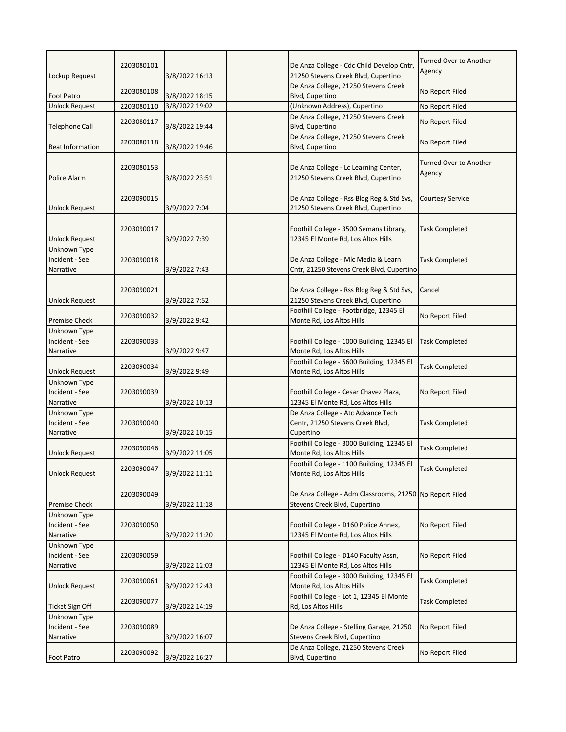| Lockup Request                              | 2203080101 | 3/8/2022 16:13 | De Anza College - Cdc Child Develop Cntr,<br>21250 Stevens Creek Blvd, Cupertino         | Turned Over to Another<br>Agency |
|---------------------------------------------|------------|----------------|------------------------------------------------------------------------------------------|----------------------------------|
| <b>Foot Patrol</b>                          | 2203080108 | 3/8/2022 18:15 | De Anza College, 21250 Stevens Creek<br>Blvd, Cupertino                                  | No Report Filed                  |
| <b>Unlock Request</b>                       | 2203080110 | 3/8/2022 19:02 | (Unknown Address), Cupertino                                                             | No Report Filed                  |
| Telephone Call                              | 2203080117 | 3/8/2022 19:44 | De Anza College, 21250 Stevens Creek<br>Blvd, Cupertino                                  | No Report Filed                  |
| <b>Beat Information</b>                     | 2203080118 | 3/8/2022 19:46 | De Anza College, 21250 Stevens Creek<br>Blvd, Cupertino                                  | No Report Filed                  |
| <b>Police Alarm</b>                         | 2203080153 | 3/8/2022 23:51 | De Anza College - Lc Learning Center,<br>21250 Stevens Creek Blvd, Cupertino             | Turned Over to Another<br>Agency |
| <b>Unlock Request</b>                       | 2203090015 | 3/9/2022 7:04  | De Anza College - Rss Bldg Reg & Std Svs,<br>21250 Stevens Creek Blvd, Cupertino         | <b>Courtesy Service</b>          |
| <b>Unlock Request</b>                       | 2203090017 | 3/9/2022 7:39  | Foothill College - 3500 Semans Library,<br>12345 El Monte Rd, Los Altos Hills            | Task Completed                   |
| Unknown Type<br>Incident - See<br>Narrative | 2203090018 | 3/9/2022 7:43  | De Anza College - Mlc Media & Learn<br>Cntr, 21250 Stevens Creek Blvd, Cupertino         | <b>Task Completed</b>            |
| <b>Unlock Request</b>                       | 2203090021 | 3/9/2022 7:52  | De Anza College - Rss Bldg Reg & Std Svs,<br>21250 Stevens Creek Blvd, Cupertino         | Cancel                           |
| <b>Premise Check</b>                        | 2203090032 | 3/9/2022 9:42  | Foothill College - Footbridge, 12345 El<br>Monte Rd, Los Altos Hills                     | No Report Filed                  |
| Unknown Type<br>Incident - See<br>Narrative | 2203090033 | 3/9/2022 9:47  | Foothill College - 1000 Building, 12345 El<br>Monte Rd, Los Altos Hills                  | <b>Task Completed</b>            |
| <b>Unlock Request</b>                       | 2203090034 | 3/9/2022 9:49  | Foothill College - 5600 Building, 12345 El<br>Monte Rd, Los Altos Hills                  | <b>Task Completed</b>            |
| Unknown Type<br>Incident - See<br>Narrative | 2203090039 | 3/9/2022 10:13 | Foothill College - Cesar Chavez Plaza,<br>12345 El Monte Rd, Los Altos Hills             | No Report Filed                  |
| Unknown Type<br>Incident - See<br>Narrative | 2203090040 | 3/9/2022 10:15 | De Anza College - Atc Advance Tech<br>Centr, 21250 Stevens Creek Blvd,<br>Cupertino      | <b>Task Completed</b>            |
| <b>Unlock Request</b>                       | 2203090046 | 3/9/2022 11:05 | Foothill College - 3000 Building, 12345 El<br>Monte Rd, Los Altos Hills                  | <b>Task Completed</b>            |
| <b>Unlock Request</b>                       | 2203090047 | 3/9/2022 11:11 | Foothill College - 1100 Building, 12345 El<br>Monte Rd, Los Altos Hills                  | <b>Task Completed</b>            |
| <b>Premise Check</b>                        | 2203090049 | 3/9/2022 11:18 | De Anza College - Adm Classrooms, 21250 No Report Filed<br>Stevens Creek Blvd, Cupertino |                                  |
| Unknown Type<br>Incident - See<br>Narrative | 2203090050 | 3/9/2022 11:20 | Foothill College - D160 Police Annex,<br>12345 El Monte Rd, Los Altos Hills              | No Report Filed                  |
| Unknown Type<br>Incident - See<br>Narrative | 2203090059 | 3/9/2022 12:03 | Foothill College - D140 Faculty Assn,<br>12345 El Monte Rd, Los Altos Hills              | No Report Filed                  |
| <b>Unlock Request</b>                       | 2203090061 | 3/9/2022 12:43 | Foothill College - 3000 Building, 12345 El<br>Monte Rd, Los Altos Hills                  | <b>Task Completed</b>            |
| Ticket Sign Off                             | 2203090077 | 3/9/2022 14:19 | Foothill College - Lot 1, 12345 El Monte<br>Rd, Los Altos Hills                          | <b>Task Completed</b>            |
| Unknown Type<br>Incident - See<br>Narrative | 2203090089 | 3/9/2022 16:07 | De Anza College - Stelling Garage, 21250<br>Stevens Creek Blvd, Cupertino                | No Report Filed                  |
| <b>Foot Patrol</b>                          | 2203090092 | 3/9/2022 16:27 | De Anza College, 21250 Stevens Creek<br><b>Blvd, Cupertino</b>                           | No Report Filed                  |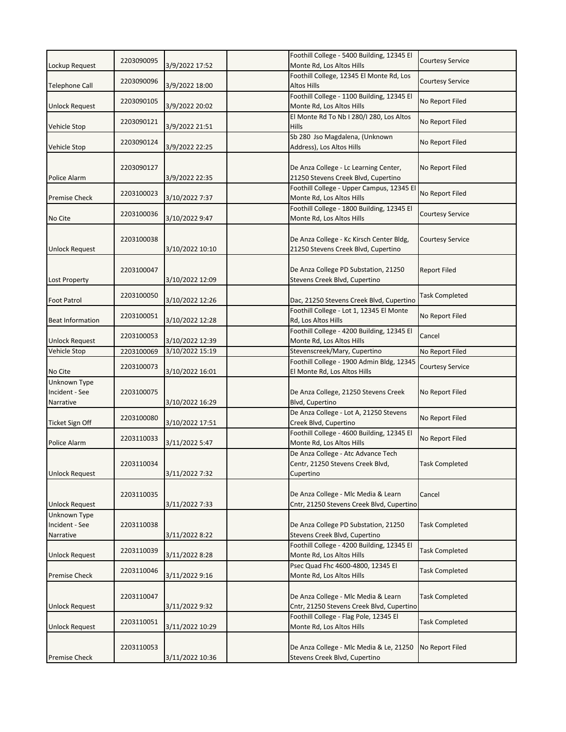|                             | 2203090095 |                 | Foothill College - 5400 Building, 12345 El                                           | <b>Courtesy Service</b> |
|-----------------------------|------------|-----------------|--------------------------------------------------------------------------------------|-------------------------|
| Lockup Request              |            | 3/9/2022 17:52  | Monte Rd, Los Altos Hills                                                            |                         |
| <b>Telephone Call</b>       | 2203090096 | 3/9/2022 18:00  | Foothill College, 12345 El Monte Rd, Los<br><b>Altos Hills</b>                       | <b>Courtesy Service</b> |
|                             |            |                 | Foothill College - 1100 Building, 12345 El                                           |                         |
| <b>Unlock Request</b>       | 2203090105 | 3/9/2022 20:02  | Monte Rd, Los Altos Hills                                                            | No Report Filed         |
|                             | 2203090121 |                 | El Monte Rd To Nb I 280/I 280, Los Altos                                             | No Report Filed         |
| <b>Vehicle Stop</b>         |            | 3/9/2022 21:51  | Hills                                                                                |                         |
|                             | 2203090124 | 3/9/2022 22:25  | Sb 280 Jso Magdalena, (Unknown<br>Address), Los Altos Hills                          | No Report Filed         |
| Vehicle Stop                |            |                 |                                                                                      |                         |
|                             | 2203090127 |                 | De Anza College - Lc Learning Center,                                                | No Report Filed         |
| Police Alarm                |            | 3/9/2022 22:35  | 21250 Stevens Creek Blvd, Cupertino                                                  |                         |
|                             | 2203100023 |                 | Foothill College - Upper Campus, 12345 El                                            | No Report Filed         |
| <b>Premise Check</b>        |            | 3/10/2022 7:37  | Monte Rd, Los Altos Hills                                                            |                         |
|                             | 2203100036 |                 | Foothill College - 1800 Building, 12345 El                                           | Courtesy Service        |
| No Cite                     |            | 3/10/2022 9:47  | Monte Rd, Los Altos Hills                                                            |                         |
|                             | 2203100038 |                 | De Anza College - Kc Kirsch Center Bldg,                                             | <b>Courtesy Service</b> |
| <b>Unlock Request</b>       |            | 3/10/2022 10:10 | 21250 Stevens Creek Blvd, Cupertino                                                  |                         |
|                             |            |                 |                                                                                      |                         |
|                             | 2203100047 |                 | De Anza College PD Substation, 21250                                                 | <b>Report Filed</b>     |
| <b>Lost Property</b>        |            | 3/10/2022 12:09 | Stevens Creek Blvd, Cupertino                                                        |                         |
|                             | 2203100050 |                 |                                                                                      | <b>Task Completed</b>   |
| <b>Foot Patrol</b>          |            | 3/10/2022 12:26 | Dac, 21250 Stevens Creek Blvd, Cupertino<br>Foothill College - Lot 1, 12345 El Monte |                         |
| <b>Beat Information</b>     | 2203100051 | 3/10/2022 12:28 | Rd, Los Altos Hills                                                                  | No Report Filed         |
|                             |            |                 | Foothill College - 4200 Building, 12345 El                                           |                         |
| <b>Unlock Request</b>       | 2203100053 | 3/10/2022 12:39 | Monte Rd, Los Altos Hills                                                            | Cancel                  |
| Vehicle Stop                | 2203100069 | 3/10/2022 15:19 | Stevenscreek/Mary, Cupertino                                                         | No Report Filed         |
|                             | 2203100073 |                 | Foothill College - 1900 Admin Bldg, 12345                                            | Courtesy Service        |
| No Cite                     |            | 3/10/2022 16:01 | El Monte Rd, Los Altos Hills                                                         |                         |
| Unknown Type                |            |                 |                                                                                      |                         |
| Incident - See<br>Narrative | 2203100075 | 3/10/2022 16:29 | De Anza College, 21250 Stevens Creek<br>Blvd, Cupertino                              | No Report Filed         |
|                             |            |                 | De Anza College - Lot A, 21250 Stevens                                               |                         |
| <b>Ticket Sign Off</b>      | 2203100080 | 3/10/2022 17:51 | Creek Blvd, Cupertino                                                                | No Report Filed         |
|                             |            |                 | Foothill College - 4600 Building, 12345 El                                           | No Report Filed         |
| Police Alarm                | 2203110033 | 3/11/2022 5:47  | Monte Rd, Los Altos Hills                                                            |                         |
|                             |            |                 | De Anza College - Atc Advance Tech                                                   |                         |
|                             | 2203110034 |                 | Centr, 21250 Stevens Creek Blvd,                                                     | <b>Task Completed</b>   |
| <b>Unlock Request</b>       |            | 3/11/2022 7:32  | Cupertino                                                                            |                         |
|                             | 2203110035 |                 | De Anza College - Mlc Media & Learn                                                  | Cancel                  |
| <b>Unlock Request</b>       |            | 3/11/2022 7:33  | Cntr, 21250 Stevens Creek Blvd, Cupertino                                            |                         |
| Unknown Type                |            |                 |                                                                                      |                         |
| Incident - See              | 2203110038 |                 | De Anza College PD Substation, 21250                                                 | <b>Task Completed</b>   |
| Narrative                   |            | 3/11/2022 8:22  | Stevens Creek Blvd, Cupertino                                                        |                         |
|                             | 2203110039 |                 | Foothill College - 4200 Building, 12345 El<br>Monte Rd, Los Altos Hills              | <b>Task Completed</b>   |
| Unlock Request              |            | 3/11/2022 8:28  | Psec Quad Fhc 4600-4800, 12345 El                                                    |                         |
| <b>Premise Check</b>        | 2203110046 | 3/11/2022 9:16  | Monte Rd, Los Altos Hills                                                            | <b>Task Completed</b>   |
|                             |            |                 |                                                                                      |                         |
|                             | 2203110047 |                 | De Anza College - Mlc Media & Learn                                                  | <b>Task Completed</b>   |
| <b>Unlock Request</b>       |            | 3/11/2022 9:32  | Cntr, 21250 Stevens Creek Blvd, Cupertino                                            |                         |
|                             | 2203110051 |                 | Foothill College - Flag Pole, 12345 El                                               | <b>Task Completed</b>   |
| <b>Unlock Request</b>       |            | 3/11/2022 10:29 | Monte Rd, Los Altos Hills                                                            |                         |
|                             | 2203110053 |                 | De Anza College - Mlc Media & Le, 21250                                              | No Report Filed         |
| <b>Premise Check</b>        |            | 3/11/2022 10:36 | Stevens Creek Blvd, Cupertino                                                        |                         |
|                             |            |                 |                                                                                      |                         |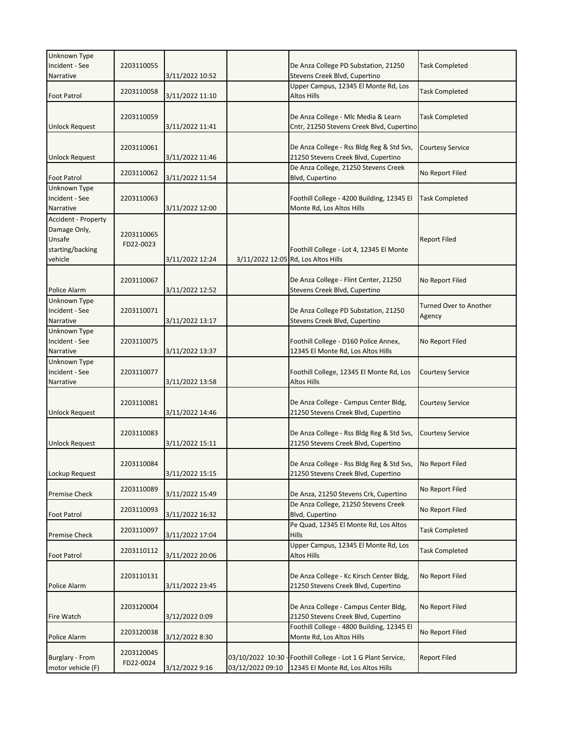| Unknown Type                                                                 |                         |                 |                                      |                                                                                                  |                                  |
|------------------------------------------------------------------------------|-------------------------|-----------------|--------------------------------------|--------------------------------------------------------------------------------------------------|----------------------------------|
| Incident - See<br>Narrative                                                  | 2203110055              | 3/11/2022 10:52 |                                      | De Anza College PD Substation, 21250<br>Stevens Creek Blvd, Cupertino                            | <b>Task Completed</b>            |
| <b>Foot Patrol</b>                                                           | 2203110058              | 3/11/2022 11:10 |                                      | Upper Campus, 12345 El Monte Rd, Los<br><b>Altos Hills</b>                                       | <b>Task Completed</b>            |
| <b>Unlock Request</b>                                                        | 2203110059              | 3/11/2022 11:41 |                                      | De Anza College - Mlc Media & Learn<br>Cntr, 21250 Stevens Creek Blvd, Cupertino                 | <b>Task Completed</b>            |
| <b>Unlock Request</b>                                                        | 2203110061              | 3/11/2022 11:46 |                                      | De Anza College - Rss Bldg Reg & Std Svs,<br>21250 Stevens Creek Blvd, Cupertino                 | <b>Courtesy Service</b>          |
| <b>Foot Patrol</b>                                                           | 2203110062              | 3/11/2022 11:54 |                                      | De Anza College, 21250 Stevens Creek<br>Blvd, Cupertino                                          | No Report Filed                  |
| Unknown Type<br>Incident - See<br>Narrative                                  | 2203110063              | 3/11/2022 12:00 |                                      | Foothill College - 4200 Building, 12345 El<br>Monte Rd, Los Altos Hills                          | <b>Task Completed</b>            |
| Accident - Property<br>Damage Only,<br>Unsafe<br>starting/backing<br>vehicle | 2203110065<br>FD22-0023 | 3/11/2022 12:24 |                                      | Foothill College - Lot 4, 12345 El Monte<br>3/11/2022 12:05 Rd, Los Altos Hills                  | <b>Report Filed</b>              |
| Police Alarm                                                                 | 2203110067              | 3/11/2022 12:52 |                                      | De Anza College - Flint Center, 21250<br>Stevens Creek Blvd, Cupertino                           | No Report Filed                  |
| Unknown Type<br>Incident - See<br>Narrative                                  | 2203110071              | 3/11/2022 13:17 |                                      | De Anza College PD Substation, 21250<br>Stevens Creek Blvd, Cupertino                            | Turned Over to Another<br>Agency |
| Unknown Type<br>Incident - See<br>Narrative                                  | 2203110075              | 3/11/2022 13:37 |                                      | Foothill College - D160 Police Annex,<br>12345 El Monte Rd, Los Altos Hills                      | No Report Filed                  |
| Unknown Type<br>Incident - See<br>Narrative                                  | 2203110077              | 3/11/2022 13:58 |                                      | Foothill College, 12345 El Monte Rd, Los<br>Altos Hills                                          | <b>Courtesy Service</b>          |
| <b>Unlock Request</b>                                                        | 2203110081              | 3/11/2022 14:46 |                                      | De Anza College - Campus Center Bldg,<br>21250 Stevens Creek Blvd, Cupertino                     | <b>Courtesy Service</b>          |
| <b>Unlock Request</b>                                                        | 2203110083              | 3/11/2022 15:11 |                                      | De Anza College - Rss Bldg Reg & Std Svs,<br>21250 Stevens Creek Blvd, Cupertino                 | <b>Courtesy Service</b>          |
| Lockup Request                                                               | 2203110084              | 3/11/2022 15:15 |                                      | De Anza College - Rss Bldg Reg & Std Svs, No Report Filed<br>21250 Stevens Creek Blvd, Cupertino |                                  |
| Premise Check                                                                | 2203110089              | 3/11/2022 15:49 |                                      | De Anza, 21250 Stevens Crk, Cupertino                                                            | No Report Filed                  |
| <b>Foot Patrol</b>                                                           | 2203110093              | 3/11/2022 16:32 |                                      | De Anza College, 21250 Stevens Creek<br>Blvd, Cupertino                                          | No Report Filed                  |
| <b>Premise Check</b>                                                         | 2203110097              | 3/11/2022 17:04 |                                      | Pe Quad, 12345 El Monte Rd, Los Altos<br><b>Hills</b>                                            | <b>Task Completed</b>            |
| Foot Patrol                                                                  | 2203110112              | 3/11/2022 20:06 |                                      | Upper Campus, 12345 El Monte Rd, Los<br>Altos Hills                                              | <b>Task Completed</b>            |
| Police Alarm                                                                 | 2203110131              | 3/11/2022 23:45 |                                      | De Anza College - Kc Kirsch Center Bldg,<br>21250 Stevens Creek Blvd, Cupertino                  | No Report Filed                  |
| Fire Watch                                                                   | 2203120004              | 3/12/2022 0:09  |                                      | De Anza College - Campus Center Bldg,<br>21250 Stevens Creek Blvd, Cupertino                     | No Report Filed                  |
| Police Alarm                                                                 | 2203120038              | 3/12/2022 8:30  |                                      | Foothill College - 4800 Building, 12345 El<br>Monte Rd, Los Altos Hills                          | No Report Filed                  |
| Burglary - From<br>motor vehicle (F)                                         | 2203120045<br>FD22-0024 | 3/12/2022 9:16  | 03/10/2022 10:30<br>03/12/2022 09:10 | Foothill College - Lot 1 G Plant Service,<br>12345 El Monte Rd, Los Altos Hills                  | <b>Report Filed</b>              |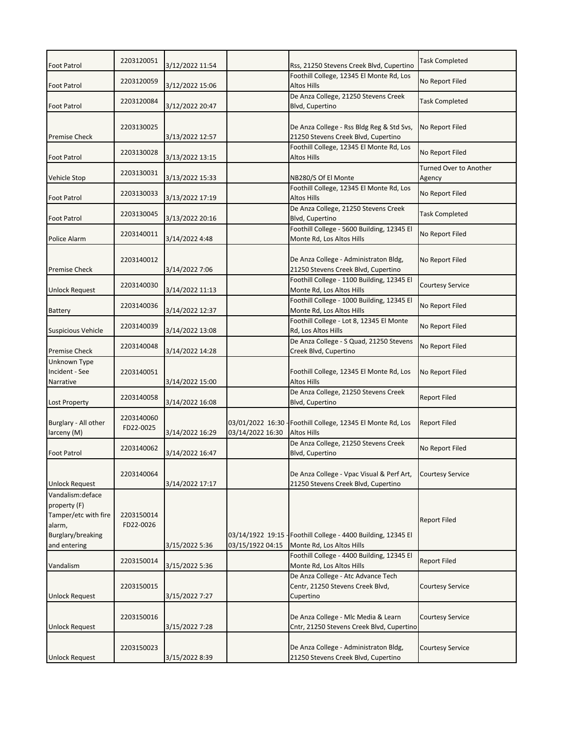| <b>Foot Patrol</b>                                                                                              | 2203120051              | 3/12/2022 11:54 |                                      | Rss, 21250 Stevens Creek Blvd, Cupertino                                            | <b>Task Completed</b>                   |
|-----------------------------------------------------------------------------------------------------------------|-------------------------|-----------------|--------------------------------------|-------------------------------------------------------------------------------------|-----------------------------------------|
| <b>Foot Patrol</b>                                                                                              | 2203120059              | 3/12/2022 15:06 |                                      | Foothill College, 12345 El Monte Rd, Los<br><b>Altos Hills</b>                      | No Report Filed                         |
| <b>Foot Patrol</b>                                                                                              | 2203120084              | 3/12/2022 20:47 |                                      | De Anza College, 21250 Stevens Creek<br>Blvd, Cupertino                             | <b>Task Completed</b>                   |
| <b>Premise Check</b>                                                                                            | 2203130025              | 3/13/2022 12:57 |                                      | De Anza College - Rss Bldg Reg & Std Svs,<br>21250 Stevens Creek Blvd, Cupertino    | No Report Filed                         |
| <b>Foot Patrol</b>                                                                                              | 2203130028              | 3/13/2022 13:15 |                                      | Foothill College, 12345 El Monte Rd, Los<br><b>Altos Hills</b>                      | No Report Filed                         |
| <b>Vehicle Stop</b>                                                                                             | 2203130031              | 3/13/2022 15:33 |                                      | NB280/S Of El Monte                                                                 | <b>Turned Over to Another</b><br>Agency |
| <b>Foot Patrol</b>                                                                                              | 2203130033              | 3/13/2022 17:19 |                                      | Foothill College, 12345 El Monte Rd, Los<br><b>Altos Hills</b>                      | No Report Filed                         |
| Foot Patrol                                                                                                     | 2203130045              | 3/13/2022 20:16 |                                      | De Anza College, 21250 Stevens Creek<br>Blvd, Cupertino                             | <b>Task Completed</b>                   |
| Police Alarm                                                                                                    | 2203140011              | 3/14/2022 4:48  |                                      | Foothill College - 5600 Building, 12345 El<br>Monte Rd, Los Altos Hills             | No Report Filed                         |
| <b>Premise Check</b>                                                                                            | 2203140012              | 3/14/2022 7:06  |                                      | De Anza College - Administraton Bldg,<br>21250 Stevens Creek Blvd, Cupertino        | No Report Filed                         |
| <b>Unlock Request</b>                                                                                           | 2203140030              | 3/14/2022 11:13 |                                      | Foothill College - 1100 Building, 12345 El<br>Monte Rd, Los Altos Hills             | <b>Courtesy Service</b>                 |
| <b>Battery</b>                                                                                                  | 2203140036              | 3/14/2022 12:37 |                                      | Foothill College - 1000 Building, 12345 El<br>Monte Rd, Los Altos Hills             | No Report Filed                         |
| <b>Suspicious Vehicle</b>                                                                                       | 2203140039              | 3/14/2022 13:08 |                                      | Foothill College - Lot 8, 12345 El Monte<br>Rd, Los Altos Hills                     | No Report Filed                         |
| <b>Premise Check</b>                                                                                            | 2203140048              | 3/14/2022 14:28 |                                      | De Anza College - S Quad, 21250 Stevens<br>Creek Blvd, Cupertino                    | No Report Filed                         |
| Unknown Type<br>Incident - See<br>Narrative                                                                     | 2203140051              | 3/14/2022 15:00 |                                      | Foothill College, 12345 El Monte Rd, Los<br>Altos Hills                             | No Report Filed                         |
| <b>Lost Property</b>                                                                                            | 2203140058              | 3/14/2022 16:08 |                                      | De Anza College, 21250 Stevens Creek<br>Blvd, Cupertino                             | <b>Report Filed</b>                     |
| Burglary - All other<br>larceny (M)                                                                             | 2203140060<br>FD22-0025 | 3/14/2022 16:29 | 03/01/2022 16:30<br>03/14/2022 16:30 | Foothill College, 12345 El Monte Rd, Los<br><b>Altos Hills</b>                      | <b>Report Filed</b>                     |
| <b>Foot Patrol</b>                                                                                              | 2203140062              | 3/14/2022 16:47 |                                      | De Anza College, 21250 Stevens Creek<br>Blvd, Cupertino                             | No Report Filed                         |
| <b>Unlock Request</b>                                                                                           | 2203140064              | 3/14/2022 17:17 |                                      | De Anza College - Vpac Visual & Perf Art,<br>21250 Stevens Creek Blvd, Cupertino    | <b>Courtesy Service</b>                 |
| Vandalism: deface<br>property (F)<br>Tamper/etc with fire<br>alarm,<br><b>Burglary/breaking</b><br>and entering | 2203150014<br>FD22-0026 | 3/15/2022 5:36  | 03/14/1922 19:15<br>03/15/1922 04:15 | Foothill College - 4400 Building, 12345 El<br>Monte Rd, Los Altos Hills             | <b>Report Filed</b>                     |
| Vandalism                                                                                                       | 2203150014              | 3/15/2022 5:36  |                                      | Foothill College - 4400 Building, 12345 El<br>Monte Rd, Los Altos Hills             | <b>Report Filed</b>                     |
| Unlock Request                                                                                                  | 2203150015              | 3/15/2022 7:27  |                                      | De Anza College - Atc Advance Tech<br>Centr, 21250 Stevens Creek Blvd,<br>Cupertino | Courtesy Service                        |
| <b>Unlock Request</b>                                                                                           | 2203150016              | 3/15/2022 7:28  |                                      | De Anza College - Mlc Media & Learn<br>Cntr, 21250 Stevens Creek Blvd, Cupertino    | <b>Courtesy Service</b>                 |
| <b>Unlock Request</b>                                                                                           | 2203150023              | 3/15/2022 8:39  |                                      | De Anza College - Administraton Bldg,<br>21250 Stevens Creek Blvd, Cupertino        | <b>Courtesy Service</b>                 |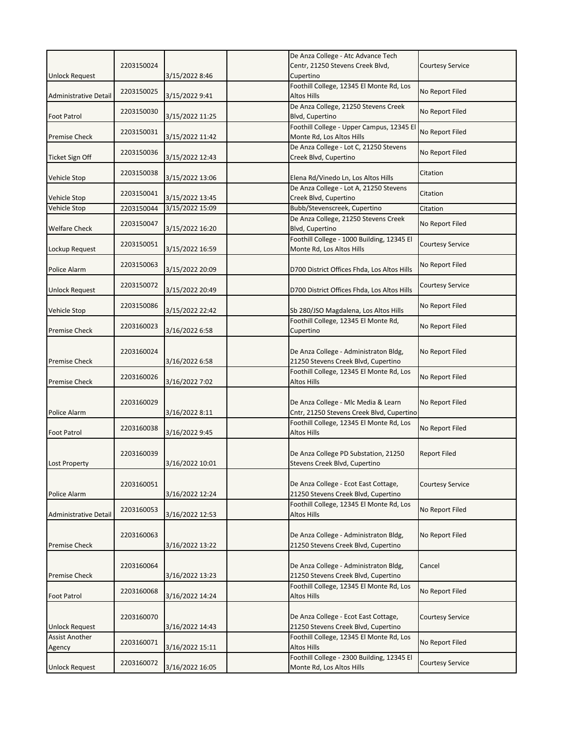|                                 | 2203150024 |                 | De Anza College - Atc Advance Tech<br>Centr, 21250 Stevens Creek Blvd,           | <b>Courtesy Service</b> |
|---------------------------------|------------|-----------------|----------------------------------------------------------------------------------|-------------------------|
| <b>Unlock Request</b>           |            | 3/15/2022 8:46  | Cupertino                                                                        |                         |
| <b>Administrative Detail</b>    | 2203150025 | 3/15/2022 9:41  | Foothill College, 12345 El Monte Rd, Los<br><b>Altos Hills</b>                   | No Report Filed         |
| <b>Foot Patrol</b>              | 2203150030 | 3/15/2022 11:25 | De Anza College, 21250 Stevens Creek<br>Blvd, Cupertino                          | No Report Filed         |
| <b>Premise Check</b>            | 2203150031 | 3/15/2022 11:42 | Foothill College - Upper Campus, 12345 El<br>Monte Rd, Los Altos Hills           | No Report Filed         |
| Ticket Sign Off                 | 2203150036 | 3/15/2022 12:43 | De Anza College - Lot C, 21250 Stevens<br>Creek Blvd, Cupertino                  | No Report Filed         |
| <b>Vehicle Stop</b>             | 2203150038 | 3/15/2022 13:06 | Elena Rd/Vinedo Ln, Los Altos Hills                                              | Citation                |
| <b>Vehicle Stop</b>             | 2203150041 | 3/15/2022 13:45 | De Anza College - Lot A, 21250 Stevens<br>Creek Blvd, Cupertino                  | Citation                |
| <b>Vehicle Stop</b>             | 2203150044 | 3/15/2022 15:09 | Bubb/Stevenscreek, Cupertino                                                     | Citation                |
| <b>Welfare Check</b>            | 2203150047 | 3/15/2022 16:20 | De Anza College, 21250 Stevens Creek<br>Blvd, Cupertino                          | No Report Filed         |
| Lockup Request                  | 2203150051 | 3/15/2022 16:59 | Foothill College - 1000 Building, 12345 El<br>Monte Rd, Los Altos Hills          | <b>Courtesy Service</b> |
| Police Alarm                    | 2203150063 | 3/15/2022 20:09 | D700 District Offices Fhda, Los Altos Hills                                      | No Report Filed         |
| <b>Unlock Request</b>           | 2203150072 | 3/15/2022 20:49 | D700 District Offices Fhda, Los Altos Hills                                      | Courtesy Service        |
| <b>Vehicle Stop</b>             | 2203150086 | 3/15/2022 22:42 | Sb 280/JSO Magdalena, Los Altos Hills                                            | No Report Filed         |
| <b>Premise Check</b>            | 2203160023 | 3/16/2022 6:58  | Foothill College, 12345 El Monte Rd,<br>Cupertino                                | No Report Filed         |
| <b>Premise Check</b>            | 2203160024 | 3/16/2022 6:58  | De Anza College - Administraton Bldg,<br>21250 Stevens Creek Blvd, Cupertino     | No Report Filed         |
| <b>Premise Check</b>            | 2203160026 | 3/16/2022 7:02  | Foothill College, 12345 El Monte Rd, Los<br>Altos Hills                          | No Report Filed         |
| Police Alarm                    | 2203160029 | 3/16/2022 8:11  | De Anza College - Mlc Media & Learn<br>Cntr, 21250 Stevens Creek Blvd, Cupertino | No Report Filed         |
| <b>Foot Patrol</b>              | 2203160038 | 3/16/2022 9:45  | Foothill College, 12345 El Monte Rd, Los<br><b>Altos Hills</b>                   | No Report Filed         |
| Lost Property                   | 2203160039 | 3/16/2022 10:01 | De Anza College PD Substation, 21250<br>Stevens Creek Blvd, Cupertino            | <b>Report Filed</b>     |
| Police Alarm                    | 2203160051 | 3/16/2022 12:24 | De Anza College - Ecot East Cottage,<br>21250 Stevens Creek Blvd, Cupertino      | <b>Courtesy Service</b> |
| Administrative Detail           | 2203160053 | 3/16/2022 12:53 | Foothill College, 12345 El Monte Rd, Los<br>Altos Hills                          | No Report Filed         |
| <b>Premise Check</b>            | 2203160063 | 3/16/2022 13:22 | De Anza College - Administraton Bldg,<br>21250 Stevens Creek Blvd, Cupertino     | No Report Filed         |
| <b>Premise Check</b>            | 2203160064 | 3/16/2022 13:23 | De Anza College - Administraton Bldg,<br>21250 Stevens Creek Blvd, Cupertino     | Cancel                  |
| <b>Foot Patrol</b>              | 2203160068 | 3/16/2022 14:24 | Foothill College, 12345 El Monte Rd, Los<br>Altos Hills                          | No Report Filed         |
| <b>Unlock Request</b>           | 2203160070 | 3/16/2022 14:43 | De Anza College - Ecot East Cottage,<br>21250 Stevens Creek Blvd, Cupertino      | Courtesy Service        |
| <b>Assist Another</b><br>Agency | 2203160071 | 3/16/2022 15:11 | Foothill College, 12345 El Monte Rd, Los<br>Altos Hills                          | No Report Filed         |
| <b>Unlock Request</b>           | 2203160072 | 3/16/2022 16:05 | Foothill College - 2300 Building, 12345 El<br>Monte Rd, Los Altos Hills          | <b>Courtesy Service</b> |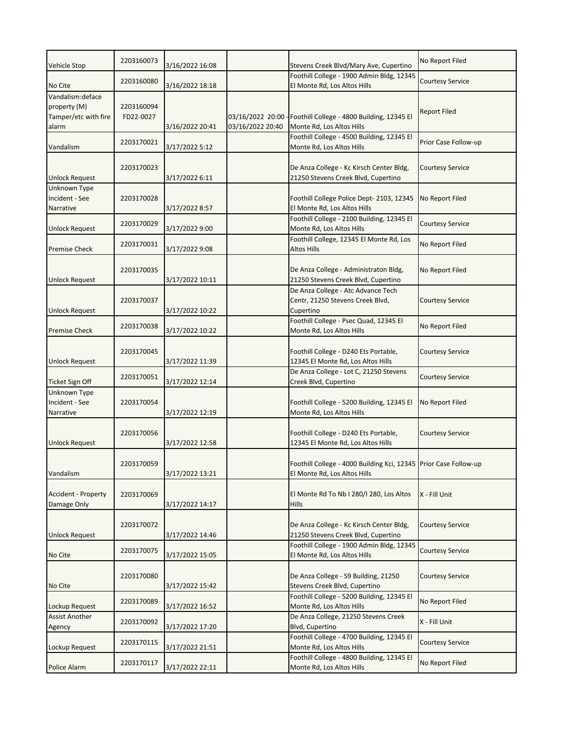| Vehicle Stop                                                       | 2203160073              | 3/16/2022 16:08 |                  | Stevens Creek Blvd/Mary Ave, Cupertino                                                           | No Report Filed         |
|--------------------------------------------------------------------|-------------------------|-----------------|------------------|--------------------------------------------------------------------------------------------------|-------------------------|
| No Cite                                                            | 2203160080              | 3/16/2022 18:18 |                  | Foothill College - 1900 Admin Bldg, 12345<br>El Monte Rd, Los Altos Hills                        | <b>Courtesy Service</b> |
| Vandalism: deface<br>property (M)<br>Tamper/etc with fire<br>alarm | 2203160094<br>FD22-0027 | 3/16/2022 20:41 | 03/16/2022 20:40 | 03/16/2022 20:00 - Foothill College - 4800 Building, 12345 El<br>Monte Rd, Los Altos Hills       | <b>Report Filed</b>     |
| Vandalism                                                          | 2203170021              | 3/17/2022 5:12  |                  | Foothill College - 4500 Building, 12345 El<br>Monte Rd, Los Altos Hills                          | Prior Case Follow-up    |
| <b>Unlock Request</b>                                              | 2203170023              | 3/17/2022 6:11  |                  | De Anza College - Kc Kirsch Center Bldg,<br>21250 Stevens Creek Blvd, Cupertino                  | Courtesy Service        |
| Unknown Type<br>Incident - See<br>Narrative                        | 2203170028              | 3/17/2022 8:57  |                  | Foothill College Police Dept- 2103, 12345<br>El Monte Rd, Los Altos Hills                        | No Report Filed         |
| <b>Unlock Request</b>                                              | 2203170029              | 3/17/2022 9:00  |                  | Foothill College - 2100 Building, 12345 El<br>Monte Rd, Los Altos Hills                          | <b>Courtesy Service</b> |
| <b>Premise Check</b>                                               | 2203170031              | 3/17/2022 9:08  |                  | Foothill College, 12345 El Monte Rd, Los<br>Altos Hills                                          | No Report Filed         |
| <b>Unlock Request</b>                                              | 2203170035              | 3/17/2022 10:11 |                  | De Anza College - Administraton Bldg,<br>21250 Stevens Creek Blvd, Cupertino                     | No Report Filed         |
| <b>Unlock Request</b>                                              | 2203170037              | 3/17/2022 10:22 |                  | De Anza College - Atc Advance Tech<br>Centr, 21250 Stevens Creek Blvd,<br>Cupertino              | Courtesy Service        |
| <b>Premise Check</b>                                               | 2203170038              | 3/17/2022 10:22 |                  | Foothill College - Psec Quad, 12345 El<br>Monte Rd, Los Altos Hills                              | No Report Filed         |
| <b>Unlock Request</b>                                              | 2203170045              | 3/17/2022 11:39 |                  | Foothill College - D240 Ets Portable,<br>12345 El Monte Rd, Los Altos Hills                      | Courtesy Service        |
| <b>Ticket Sign Off</b>                                             | 2203170051              | 3/17/2022 12:14 |                  | De Anza College - Lot C, 21250 Stevens<br>Creek Blvd, Cupertino                                  | Courtesy Service        |
| Unknown Type<br>Incident - See<br>Narrative                        | 2203170054              | 3/17/2022 12:19 |                  | Foothill College - 5200 Building, 12345 El<br>Monte Rd, Los Altos Hills                          | No Report Filed         |
| <b>Unlock Request</b>                                              | 2203170056              | 3/17/2022 12:58 |                  | Foothill College - D240 Ets Portable,<br>12345 El Monte Rd, Los Altos Hills                      | Courtesy Service        |
| Vandalism                                                          | 2203170059              | 3/17/2022 13:21 |                  | Foothill College - 4000 Building Kci, 12345 Prior Case Follow-up<br>El Monte Rd, Los Altos Hills |                         |
| Accident - Property<br>Damage Only                                 | 2203170069              | 3/17/2022 14:17 |                  | El Monte Rd To Nb I 280/I 280, Los Altos<br>Hills                                                | X - Fill Unit           |
| <b>Unlock Request</b>                                              | 2203170072              | 3/17/2022 14:46 |                  | De Anza College - Kc Kirsch Center Bldg,<br>21250 Stevens Creek Blvd, Cupertino                  | <b>Courtesy Service</b> |
| No Cite                                                            | 2203170075              | 3/17/2022 15:05 |                  | Foothill College - 1900 Admin Bldg, 12345<br>El Monte Rd, Los Altos Hills                        | <b>Courtesy Service</b> |
| No Cite                                                            | 2203170080              | 3/17/2022 15:42 |                  | De Anza College - S9 Building, 21250<br>Stevens Creek Blvd, Cupertino                            | <b>Courtesy Service</b> |
| Lockup Request                                                     | 2203170089              | 3/17/2022 16:52 |                  | Foothill College - 5200 Building, 12345 El<br>Monte Rd, Los Altos Hills                          | No Report Filed         |
| <b>Assist Another</b><br>Agency                                    | 2203170092              | 3/17/2022 17:20 |                  | De Anza College, 21250 Stevens Creek<br>Blvd, Cupertino                                          | X - Fill Unit           |
| Lockup Request                                                     | 2203170115              | 3/17/2022 21:51 |                  | Foothill College - 4700 Building, 12345 El<br>Monte Rd, Los Altos Hills                          | <b>Courtesy Service</b> |
| Police Alarm                                                       | 2203170117              | 3/17/2022 22:11 |                  | Foothill College - 4800 Building, 12345 El<br>Monte Rd, Los Altos Hills                          | No Report Filed         |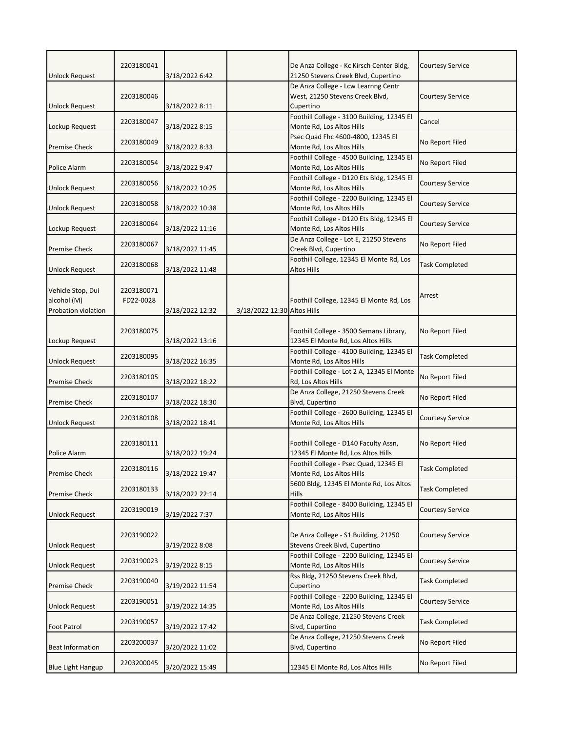| <b>Unlock Request</b>                                   | 2203180041              | 3/18/2022 6:42  |                             | De Anza College - Kc Kirsch Center Bldg,<br>21250 Stevens Creek Blvd, Cupertino     | <b>Courtesy Service</b> |
|---------------------------------------------------------|-------------------------|-----------------|-----------------------------|-------------------------------------------------------------------------------------|-------------------------|
| <b>Unlock Request</b>                                   | 2203180046              | 3/18/2022 8:11  |                             | De Anza College - Lcw Learnng Centr<br>West, 21250 Stevens Creek Blvd,<br>Cupertino | Courtesy Service        |
| Lockup Request                                          | 2203180047              | 3/18/2022 8:15  |                             | Foothill College - 3100 Building, 12345 El<br>Monte Rd, Los Altos Hills             | Cancel                  |
| <b>Premise Check</b>                                    | 2203180049              | 3/18/2022 8:33  |                             | Psec Quad Fhc 4600-4800, 12345 El<br>Monte Rd, Los Altos Hills                      | No Report Filed         |
| Police Alarm                                            | 2203180054              | 3/18/2022 9:47  |                             | Foothill College - 4500 Building, 12345 El<br>Monte Rd, Los Altos Hills             | No Report Filed         |
| <b>Unlock Request</b>                                   | 2203180056              | 3/18/2022 10:25 |                             | Foothill College - D120 Ets Bldg, 12345 El<br>Monte Rd, Los Altos Hills             | <b>Courtesy Service</b> |
| <b>Unlock Request</b>                                   | 2203180058              | 3/18/2022 10:38 |                             | Foothill College - 2200 Building, 12345 El<br>Monte Rd, Los Altos Hills             | <b>Courtesy Service</b> |
| Lockup Request                                          | 2203180064              | 3/18/2022 11:16 |                             | Foothill College - D120 Ets Bldg, 12345 El<br>Monte Rd, Los Altos Hills             | <b>Courtesy Service</b> |
| <b>Premise Check</b>                                    | 2203180067              | 3/18/2022 11:45 |                             | De Anza College - Lot E, 21250 Stevens<br>Creek Blvd, Cupertino                     | No Report Filed         |
| <b>Unlock Request</b>                                   | 2203180068              | 3/18/2022 11:48 |                             | Foothill College, 12345 El Monte Rd, Los<br>Altos Hills                             | <b>Task Completed</b>   |
| Vehicle Stop, Dui<br>alcohol (M)<br>Probation violation | 2203180071<br>FD22-0028 | 3/18/2022 12:32 | 3/18/2022 12:30 Altos Hills | Foothill College, 12345 El Monte Rd, Los                                            | Arrest                  |
| Lockup Request                                          | 2203180075              | 3/18/2022 13:16 |                             | Foothill College - 3500 Semans Library,<br>12345 El Monte Rd, Los Altos Hills       | No Report Filed         |
| <b>Unlock Request</b>                                   | 2203180095              | 3/18/2022 16:35 |                             | Foothill College - 4100 Building, 12345 El<br>Monte Rd, Los Altos Hills             | <b>Task Completed</b>   |
| <b>Premise Check</b>                                    | 2203180105              | 3/18/2022 18:22 |                             | Foothill College - Lot 2 A, 12345 El Monte<br>Rd, Los Altos Hills                   | No Report Filed         |
| <b>Premise Check</b>                                    | 2203180107              | 3/18/2022 18:30 |                             | De Anza College, 21250 Stevens Creek<br>Blvd, Cupertino                             | No Report Filed         |
| <b>Unlock Request</b>                                   | 2203180108              | 3/18/2022 18:41 |                             | Foothill College - 2600 Building, 12345 El<br>Monte Rd, Los Altos Hills             | <b>Courtesy Service</b> |
| Police Alarm                                            | 2203180111              | 3/18/2022 19:24 |                             | Foothill College - D140 Faculty Assn,<br>12345 El Monte Rd, Los Altos Hills         | No Report Filed         |
| <b>Premise Check</b>                                    | 2203180116              | 3/18/2022 19:47 |                             | Foothill College - Psec Quad, 12345 El<br>Monte Rd, Los Altos Hills                 | <b>Task Completed</b>   |
| <b>Premise Check</b>                                    | 2203180133              | 3/18/2022 22:14 |                             | 5600 Bldg, 12345 El Monte Rd, Los Altos<br><b>Hills</b>                             | <b>Task Completed</b>   |
| <b>Unlock Request</b>                                   | 2203190019              | 3/19/2022 7:37  |                             | Foothill College - 8400 Building, 12345 El<br>Monte Rd, Los Altos Hills             | <b>Courtesy Service</b> |
| <b>Unlock Request</b>                                   | 2203190022              | 3/19/2022 8:08  |                             | De Anza College - S1 Building, 21250<br>Stevens Creek Blvd, Cupertino               | Courtesy Service        |
| Unlock Request                                          | 2203190023              | 3/19/2022 8:15  |                             | Foothill College - 2200 Building, 12345 El<br>Monte Rd, Los Altos Hills             | <b>Courtesy Service</b> |
| <b>Premise Check</b>                                    | 2203190040              | 3/19/2022 11:54 |                             | Rss Bldg, 21250 Stevens Creek Blvd,<br>Cupertino                                    | <b>Task Completed</b>   |
| <b>Unlock Request</b>                                   | 2203190051              | 3/19/2022 14:35 |                             | Foothill College - 2200 Building, 12345 El<br>Monte Rd, Los Altos Hills             | <b>Courtesy Service</b> |
| <b>Foot Patrol</b>                                      | 2203190057              | 3/19/2022 17:42 |                             | De Anza College, 21250 Stevens Creek<br>Blvd, Cupertino                             | <b>Task Completed</b>   |
| <b>Beat Information</b>                                 | 2203200037              | 3/20/2022 11:02 |                             | De Anza College, 21250 Stevens Creek<br>Blvd, Cupertino                             | No Report Filed         |
| <b>Blue Light Hangup</b>                                | 2203200045              | 3/20/2022 15:49 |                             | 12345 El Monte Rd, Los Altos Hills                                                  | No Report Filed         |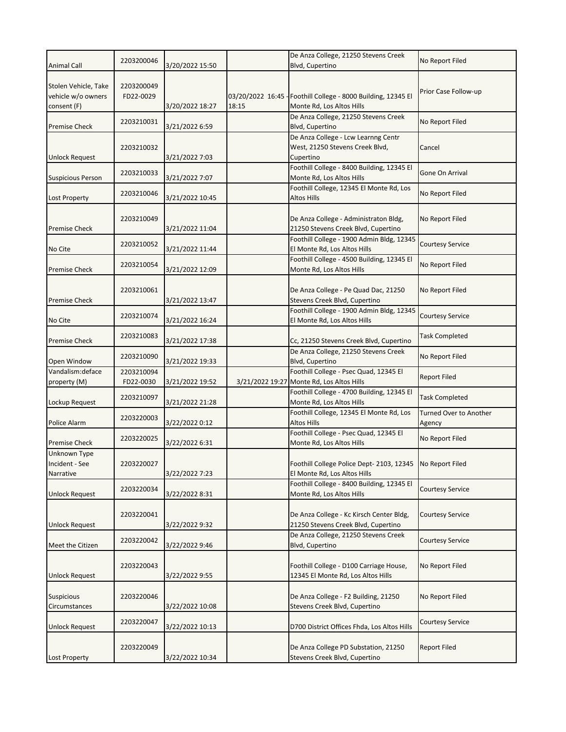|                                            | 2203200046              |                 |                           | De Anza College, 21250 Stevens Creek                                             | No Report Filed               |
|--------------------------------------------|-------------------------|-----------------|---------------------------|----------------------------------------------------------------------------------|-------------------------------|
| <b>Animal Call</b>                         |                         | 3/20/2022 15:50 |                           | Blvd, Cupertino                                                                  |                               |
|                                            |                         |                 |                           |                                                                                  |                               |
| Stolen Vehicle, Take<br>vehicle w/o owners | 2203200049<br>FD22-0029 |                 |                           |                                                                                  | Prior Case Follow-up          |
| consent (F)                                |                         | 3/20/2022 18:27 | 03/20/2022 16:45<br>18:15 | -Foothill College - 8000 Building, 12345 El<br>Monte Rd, Los Altos Hills         |                               |
|                                            |                         |                 |                           | De Anza College, 21250 Stevens Creek                                             |                               |
| <b>Premise Check</b>                       | 2203210031              | 3/21/2022 6:59  |                           | Blvd, Cupertino                                                                  | No Report Filed               |
|                                            |                         |                 |                           | De Anza College - Lcw Learnng Centr                                              |                               |
|                                            | 2203210032              |                 |                           | West, 21250 Stevens Creek Blvd,                                                  | Cancel                        |
| <b>Unlock Request</b>                      |                         | 3/21/2022 7:03  |                           | Cupertino                                                                        |                               |
|                                            | 2203210033              |                 |                           | Foothill College - 8400 Building, 12345 El                                       | Gone On Arrival               |
| <b>Suspicious Person</b>                   |                         | 3/21/2022 7:07  |                           | Monte Rd, Los Altos Hills                                                        |                               |
|                                            | 2203210046              |                 |                           | Foothill College, 12345 El Monte Rd, Los                                         | No Report Filed               |
| <b>Lost Property</b>                       |                         | 3/21/2022 10:45 |                           | Altos Hills                                                                      |                               |
|                                            |                         |                 |                           |                                                                                  |                               |
|                                            | 2203210049              |                 |                           | De Anza College - Administraton Bldg,                                            | No Report Filed               |
| <b>Premise Check</b>                       |                         | 3/21/2022 11:04 |                           | 21250 Stevens Creek Blvd, Cupertino<br>Foothill College - 1900 Admin Bldg, 12345 |                               |
| No Cite                                    | 2203210052              | 3/21/2022 11:44 |                           | El Monte Rd, Los Altos Hills                                                     | <b>Courtesy Service</b>       |
|                                            |                         |                 |                           | Foothill College - 4500 Building, 12345 El                                       |                               |
| <b>Premise Check</b>                       | 2203210054              | 3/21/2022 12:09 |                           | Monte Rd, Los Altos Hills                                                        | No Report Filed               |
|                                            |                         |                 |                           |                                                                                  |                               |
|                                            | 2203210061              |                 |                           | De Anza College - Pe Quad Dac, 21250                                             | No Report Filed               |
| <b>Premise Check</b>                       |                         | 3/21/2022 13:47 |                           | Stevens Creek Blvd, Cupertino                                                    |                               |
|                                            |                         |                 |                           | Foothill College - 1900 Admin Bldg, 12345                                        |                               |
| No Cite                                    | 2203210074              | 3/21/2022 16:24 |                           | El Monte Rd, Los Altos Hills                                                     | Courtesy Service              |
|                                            | 2203210083              |                 |                           |                                                                                  | <b>Task Completed</b>         |
| <b>Premise Check</b>                       |                         | 3/21/2022 17:38 |                           | Cc, 21250 Stevens Creek Blvd, Cupertino                                          |                               |
|                                            | 2203210090              |                 |                           | De Anza College, 21250 Stevens Creek                                             | No Report Filed               |
| Open Window                                |                         | 3/21/2022 19:33 |                           | Blvd, Cupertino                                                                  |                               |
| Vandalism: deface                          | 2203210094              |                 |                           | Foothill College - Psec Quad, 12345 El                                           | <b>Report Filed</b>           |
| property (M)                               | FD22-0030               | 3/21/2022 19:52 | 3/21/2022 19:27           | Monte Rd, Los Altos Hills<br>Foothill College - 4700 Building, 12345 El          |                               |
| Lockup Request                             | 2203210097              | 3/21/2022 21:28 |                           | Monte Rd, Los Altos Hills                                                        | Task Completed                |
|                                            |                         |                 |                           | Foothill College, 12345 El Monte Rd, Los                                         | <b>Turned Over to Another</b> |
| Police Alarm                               | 2203220003              | 3/22/2022 0:12  |                           | Altos Hills                                                                      | Agency                        |
|                                            |                         |                 |                           | Foothill College - Psec Quad, 12345 El                                           |                               |
| <b>Premise Check</b>                       | 2203220025              | 3/22/2022 6:31  |                           | Monte Rd, Los Altos Hills                                                        | No Report Filed               |
| Unknown Type                               |                         |                 |                           |                                                                                  |                               |
| Incident - See                             | 2203220027              |                 |                           | Foothill College Police Dept- 2103, 12345 No Report Filed                        |                               |
| Narrative                                  |                         | 3/22/2022 7:23  |                           | El Monte Rd, Los Altos Hills                                                     |                               |
|                                            | 2203220034              |                 |                           | Foothill College - 8400 Building, 12345 El                                       | <b>Courtesy Service</b>       |
| <b>Unlock Request</b>                      |                         | 3/22/2022 8:31  |                           | Monte Rd, Los Altos Hills                                                        |                               |
|                                            |                         |                 |                           | De Anza College - Kc Kirsch Center Bldg,                                         |                               |
| <b>Unlock Request</b>                      | 2203220041              | 3/22/2022 9:32  |                           | 21250 Stevens Creek Blvd, Cupertino                                              | Courtesy Service              |
|                                            |                         |                 |                           | De Anza College, 21250 Stevens Creek                                             |                               |
| Meet the Citizen                           | 2203220042              | 3/22/2022 9:46  |                           | Blvd, Cupertino                                                                  | <b>Courtesy Service</b>       |
|                                            |                         |                 |                           |                                                                                  |                               |
|                                            | 2203220043              |                 |                           | Foothill College - D100 Carriage House,                                          | No Report Filed               |
| <b>Unlock Request</b>                      |                         | 3/22/2022 9:55  |                           | 12345 El Monte Rd, Los Altos Hills                                               |                               |
|                                            |                         |                 |                           |                                                                                  |                               |
| <b>Suspicious</b>                          | 2203220046              |                 |                           | De Anza College - F2 Building, 21250                                             | No Report Filed               |
| Circumstances                              |                         | 3/22/2022 10:08 |                           | Stevens Creek Blvd, Cupertino                                                    |                               |
|                                            | 2203220047              |                 |                           |                                                                                  | Courtesy Service              |
| <b>Unlock Request</b>                      |                         | 3/22/2022 10:13 |                           | D700 District Offices Fhda, Los Altos Hills                                      |                               |
|                                            |                         |                 |                           |                                                                                  |                               |
|                                            | 2203220049              |                 |                           | De Anza College PD Substation, 21250                                             | <b>Report Filed</b>           |
| Lost Property                              |                         | 3/22/2022 10:34 |                           | Stevens Creek Blvd, Cupertino                                                    |                               |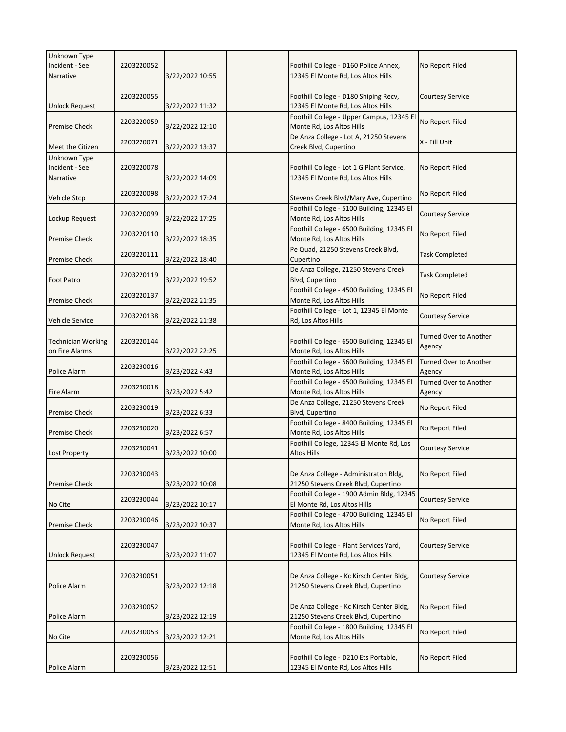| Unknown Type<br>Incident - See<br>Narrative | 2203220052 | 3/22/2022 10:55 | Foothill College - D160 Police Annex,<br>12345 El Monte Rd, Los Altos Hills     | No Report Filed                         |
|---------------------------------------------|------------|-----------------|---------------------------------------------------------------------------------|-----------------------------------------|
| <b>Unlock Request</b>                       | 2203220055 | 3/22/2022 11:32 | Foothill College - D180 Shiping Recv,<br>12345 El Monte Rd, Los Altos Hills     | <b>Courtesy Service</b>                 |
| <b>Premise Check</b>                        | 2203220059 | 3/22/2022 12:10 | Foothill College - Upper Campus, 12345 El<br>Monte Rd, Los Altos Hills          | No Report Filed                         |
| Meet the Citizen                            | 2203220071 | 3/22/2022 13:37 | De Anza College - Lot A, 21250 Stevens<br>Creek Blvd, Cupertino                 | X - Fill Unit                           |
| Unknown Type<br>Incident - See<br>Narrative | 2203220078 | 3/22/2022 14:09 | Foothill College - Lot 1 G Plant Service,<br>12345 El Monte Rd, Los Altos Hills | No Report Filed                         |
| Vehicle Stop                                | 2203220098 | 3/22/2022 17:24 | Stevens Creek Blvd/Mary Ave, Cupertino                                          | No Report Filed                         |
| Lockup Request                              | 2203220099 | 3/22/2022 17:25 | Foothill College - 5100 Building, 12345 El<br>Monte Rd, Los Altos Hills         | <b>Courtesy Service</b>                 |
| <b>Premise Check</b>                        | 2203220110 | 3/22/2022 18:35 | Foothill College - 6500 Building, 12345 El<br>Monte Rd, Los Altos Hills         | No Report Filed                         |
| <b>Premise Check</b>                        | 2203220111 | 3/22/2022 18:40 | Pe Quad, 21250 Stevens Creek Blvd,<br>Cupertino                                 | <b>Task Completed</b>                   |
| <b>Foot Patrol</b>                          | 2203220119 | 3/22/2022 19:52 | De Anza College, 21250 Stevens Creek<br>Blvd, Cupertino                         | <b>Task Completed</b>                   |
| <b>Premise Check</b>                        | 2203220137 | 3/22/2022 21:35 | Foothill College - 4500 Building, 12345 El<br>Monte Rd, Los Altos Hills         | No Report Filed                         |
| <b>Vehicle Service</b>                      | 2203220138 | 3/22/2022 21:38 | Foothill College - Lot 1, 12345 El Monte<br>Rd, Los Altos Hills                 | <b>Courtesy Service</b>                 |
| <b>Technician Working</b><br>on Fire Alarms | 2203220144 | 3/22/2022 22:25 | Foothill College - 6500 Building, 12345 El<br>Monte Rd, Los Altos Hills         | Turned Over to Another<br>Agency        |
| Police Alarm                                | 2203230016 | 3/23/2022 4:43  | Foothill College - 5600 Building, 12345 El<br>Monte Rd, Los Altos Hills         | Turned Over to Another<br>Agency        |
| Fire Alarm                                  | 2203230018 | 3/23/2022 5:42  | Foothill College - 6500 Building, 12345 El<br>Monte Rd, Los Altos Hills         | <b>Turned Over to Another</b><br>Agency |
| <b>Premise Check</b>                        | 2203230019 | 3/23/2022 6:33  | De Anza College, 21250 Stevens Creek<br>Blvd, Cupertino                         | No Report Filed                         |
| <b>Premise Check</b>                        | 2203230020 | 3/23/2022 6:57  | Foothill College - 8400 Building, 12345 El<br>Monte Rd, Los Altos Hills         | No Report Filed                         |
| <b>Lost Property</b>                        | 2203230041 | 3/23/2022 10:00 | Foothill College, 12345 El Monte Rd, Los<br>Altos Hills                         | <b>Courtesy Service</b>                 |
| <b>Premise Check</b>                        | 2203230043 | 3/23/2022 10:08 | De Anza College - Administraton Bldg,<br>21250 Stevens Creek Blvd, Cupertino    | No Report Filed                         |
| No Cite                                     | 2203230044 | 3/23/2022 10:17 | Foothill College - 1900 Admin Bldg, 12345<br>El Monte Rd, Los Altos Hills       | <b>Courtesy Service</b>                 |
| <b>Premise Check</b>                        | 2203230046 | 3/23/2022 10:37 | Foothill College - 4700 Building, 12345 El<br>Monte Rd, Los Altos Hills         | No Report Filed                         |
| <b>Unlock Request</b>                       | 2203230047 | 3/23/2022 11:07 | Foothill College - Plant Services Yard,<br>12345 El Monte Rd, Los Altos Hills   | <b>Courtesy Service</b>                 |
| Police Alarm                                | 2203230051 | 3/23/2022 12:18 | De Anza College - Kc Kirsch Center Bldg,<br>21250 Stevens Creek Blvd, Cupertino | <b>Courtesy Service</b>                 |
| Police Alarm                                | 2203230052 | 3/23/2022 12:19 | De Anza College - Kc Kirsch Center Bldg,<br>21250 Stevens Creek Blvd, Cupertino | No Report Filed                         |
| No Cite                                     | 2203230053 | 3/23/2022 12:21 | Foothill College - 1800 Building, 12345 El<br>Monte Rd, Los Altos Hills         | No Report Filed                         |
| Police Alarm                                | 2203230056 | 3/23/2022 12:51 | Foothill College - D210 Ets Portable,<br>12345 El Monte Rd, Los Altos Hills     | No Report Filed                         |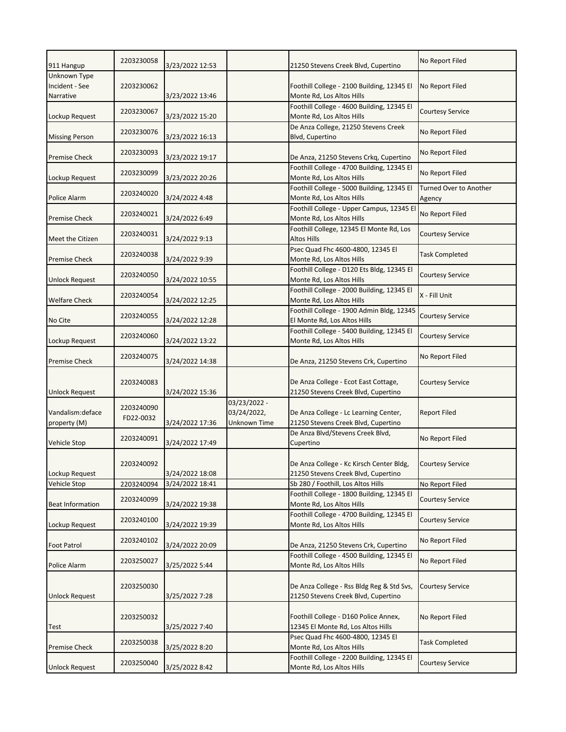| 911 Hangup                                  | 2203230058              | 3/23/2022 12:53 |                                             | 21250 Stevens Creek Blvd, Cupertino                                              | No Report Filed                  |
|---------------------------------------------|-------------------------|-----------------|---------------------------------------------|----------------------------------------------------------------------------------|----------------------------------|
| Unknown Type<br>Incident - See<br>Narrative | 2203230062              | 3/23/2022 13:46 |                                             | Foothill College - 2100 Building, 12345 El<br>Monte Rd, Los Altos Hills          | No Report Filed                  |
| Lockup Request                              | 2203230067              | 3/23/2022 15:20 |                                             | Foothill College - 4600 Building, 12345 El<br>Monte Rd, Los Altos Hills          | <b>Courtesy Service</b>          |
| <b>Missing Person</b>                       | 2203230076              | 3/23/2022 16:13 |                                             | De Anza College, 21250 Stevens Creek<br>Blvd, Cupertino                          | No Report Filed                  |
| <b>Premise Check</b>                        | 2203230093              | 3/23/2022 19:17 |                                             | De Anza, 21250 Stevens Crkq, Cupertino                                           | No Report Filed                  |
| Lockup Request                              | 2203230099              | 3/23/2022 20:26 |                                             | Foothill College - 4700 Building, 12345 El<br>Monte Rd, Los Altos Hills          | No Report Filed                  |
| Police Alarm                                | 2203240020              | 3/24/2022 4:48  |                                             | Foothill College - 5000 Building, 12345 El<br>Monte Rd, Los Altos Hills          | Turned Over to Another<br>Agency |
| <b>Premise Check</b>                        | 2203240021              | 3/24/2022 6:49  |                                             | Foothill College - Upper Campus, 12345 El<br>Monte Rd, Los Altos Hills           | No Report Filed                  |
| Meet the Citizen                            | 2203240031              | 3/24/2022 9:13  |                                             | Foothill College, 12345 El Monte Rd, Los<br><b>Altos Hills</b>                   | <b>Courtesy Service</b>          |
| <b>Premise Check</b>                        | 2203240038              | 3/24/2022 9:39  |                                             | Psec Quad Fhc 4600-4800, 12345 El<br>Monte Rd, Los Altos Hills                   | <b>Task Completed</b>            |
| <b>Unlock Request</b>                       | 2203240050              | 3/24/2022 10:55 |                                             | Foothill College - D120 Ets Bldg, 12345 El<br>Monte Rd, Los Altos Hills          | <b>Courtesy Service</b>          |
| <b>Welfare Check</b>                        | 2203240054              | 3/24/2022 12:25 |                                             | Foothill College - 2000 Building, 12345 El<br>Monte Rd, Los Altos Hills          | X - Fill Unit                    |
| No Cite                                     | 2203240055              | 3/24/2022 12:28 |                                             | Foothill College - 1900 Admin Bldg, 12345<br>El Monte Rd, Los Altos Hills        | <b>Courtesy Service</b>          |
| Lockup Request                              | 2203240060              | 3/24/2022 13:22 |                                             | Foothill College - 5400 Building, 12345 El<br>Monte Rd, Los Altos Hills          | <b>Courtesy Service</b>          |
| <b>Premise Check</b>                        | 2203240075              | 3/24/2022 14:38 |                                             | De Anza, 21250 Stevens Crk, Cupertino                                            | No Report Filed                  |
| <b>Unlock Request</b>                       | 2203240083              | 3/24/2022 15:36 |                                             | De Anza College - Ecot East Cottage,<br>21250 Stevens Creek Blvd, Cupertino      | Courtesy Service                 |
| Vandalism: deface<br>property (M)           | 2203240090<br>FD22-0032 | 3/24/2022 17:36 | 03/23/2022 -<br>03/24/2022,<br>Unknown Time | De Anza College - Lc Learning Center,<br>21250 Stevens Creek Blvd, Cupertino     | Report Filed                     |
| Vehicle Stop                                | 2203240091              | 3/24/2022 17:49 |                                             | De Anza Blvd/Stevens Creek Blvd,<br>Cupertino                                    | No Report Filed                  |
| Lockup Request                              | 2203240092              | 3/24/2022 18:08 |                                             | De Anza College - Kc Kirsch Center Bldg,<br>21250 Stevens Creek Blvd, Cupertino  | <b>Courtesy Service</b>          |
| Vehicle Stop                                | 2203240094              | 3/24/2022 18:41 |                                             | Sb 280 / Foothill, Los Altos Hills                                               | No Report Filed                  |
| <b>Beat Information</b>                     | 2203240099              | 3/24/2022 19:38 |                                             | Foothill College - 1800 Building, 12345 El<br>Monte Rd, Los Altos Hills          | <b>Courtesy Service</b>          |
| Lockup Request                              | 2203240100              | 3/24/2022 19:39 |                                             | Foothill College - 4700 Building, 12345 El<br>Monte Rd, Los Altos Hills          | <b>Courtesy Service</b>          |
| <b>Foot Patrol</b>                          | 2203240102              | 3/24/2022 20:09 |                                             | De Anza, 21250 Stevens Crk, Cupertino                                            | No Report Filed                  |
| Police Alarm                                | 2203250027              | 3/25/2022 5:44  |                                             | Foothill College - 4500 Building, 12345 El<br>Monte Rd, Los Altos Hills          | No Report Filed                  |
| <b>Unlock Request</b>                       | 2203250030              | 3/25/2022 7:28  |                                             | De Anza College - Rss Bldg Reg & Std Svs,<br>21250 Stevens Creek Blvd, Cupertino | <b>Courtesy Service</b>          |
| Test                                        | 2203250032              | 3/25/2022 7:40  |                                             | Foothill College - D160 Police Annex,<br>12345 El Monte Rd, Los Altos Hills      | No Report Filed                  |
| <b>Premise Check</b>                        | 2203250038              | 3/25/2022 8:20  |                                             | Psec Quad Fhc 4600-4800, 12345 El<br>Monte Rd, Los Altos Hills                   | <b>Task Completed</b>            |
| <b>Unlock Request</b>                       | 2203250040              | 3/25/2022 8:42  |                                             | Foothill College - 2200 Building, 12345 El<br>Monte Rd, Los Altos Hills          | <b>Courtesy Service</b>          |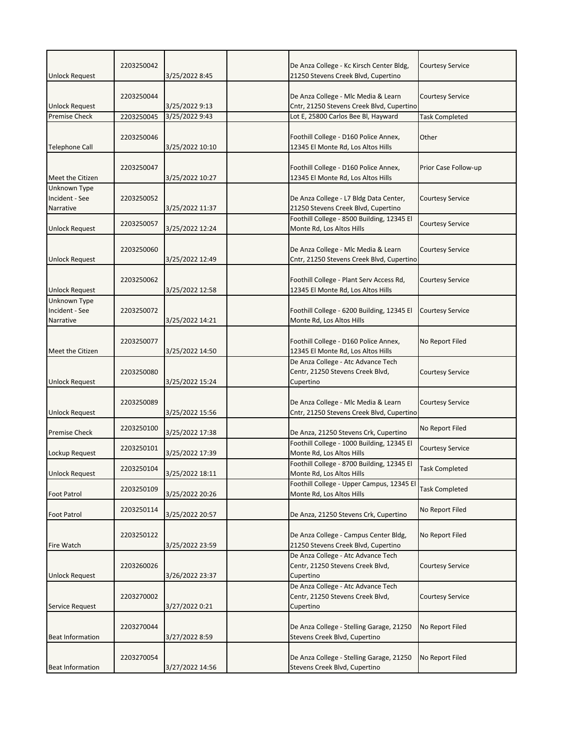| <b>Unlock Request</b>                       | 2203250042 | 3/25/2022 8:45  | De Anza College - Kc Kirsch Center Bldg,<br>21250 Stevens Creek Blvd, Cupertino     | Courtesy Service        |
|---------------------------------------------|------------|-----------------|-------------------------------------------------------------------------------------|-------------------------|
| <b>Unlock Request</b>                       | 2203250044 | 3/25/2022 9:13  | De Anza College - Mlc Media & Learn<br>Cntr, 21250 Stevens Creek Blvd, Cupertino    | Courtesy Service        |
| <b>Premise Check</b>                        | 2203250045 | 3/25/2022 9:43  | Lot E, 25800 Carlos Bee Bl, Hayward                                                 | <b>Task Completed</b>   |
| <b>Telephone Call</b>                       | 2203250046 | 3/25/2022 10:10 | Foothill College - D160 Police Annex,<br>12345 El Monte Rd, Los Altos Hills         | Other                   |
| Meet the Citizen                            | 2203250047 | 3/25/2022 10:27 | Foothill College - D160 Police Annex,<br>12345 El Monte Rd, Los Altos Hills         | Prior Case Follow-up    |
| Unknown Type<br>Incident - See<br>Narrative | 2203250052 | 3/25/2022 11:37 | De Anza College - L7 Bldg Data Center,<br>21250 Stevens Creek Blvd, Cupertino       | Courtesy Service        |
| <b>Unlock Request</b>                       | 2203250057 | 3/25/2022 12:24 | Foothill College - 8500 Building, 12345 El<br>Monte Rd, Los Altos Hills             | Courtesy Service        |
| <b>Unlock Request</b>                       | 2203250060 | 3/25/2022 12:49 | De Anza College - Mlc Media & Learn<br>Cntr, 21250 Stevens Creek Blvd, Cupertino    | <b>Courtesy Service</b> |
| <b>Unlock Request</b>                       | 2203250062 | 3/25/2022 12:58 | Foothill College - Plant Serv Access Rd,<br>12345 El Monte Rd, Los Altos Hills      | <b>Courtesy Service</b> |
| Unknown Type<br>Incident - See<br>Narrative | 2203250072 | 3/25/2022 14:21 | Foothill College - 6200 Building, 12345 El<br>Monte Rd, Los Altos Hills             | Courtesy Service        |
| Meet the Citizen                            | 2203250077 | 3/25/2022 14:50 | Foothill College - D160 Police Annex,<br>12345 El Monte Rd, Los Altos Hills         | No Report Filed         |
| <b>Unlock Request</b>                       | 2203250080 | 3/25/2022 15:24 | De Anza College - Atc Advance Tech<br>Centr, 21250 Stevens Creek Blvd,<br>Cupertino | Courtesy Service        |
| <b>Unlock Request</b>                       | 2203250089 | 3/25/2022 15:56 | De Anza College - Mlc Media & Learn<br>Cntr, 21250 Stevens Creek Blvd, Cupertino    | <b>Courtesy Service</b> |
| <b>Premise Check</b>                        | 2203250100 | 3/25/2022 17:38 | De Anza, 21250 Stevens Crk, Cupertino                                               | No Report Filed         |
| Lockup Request                              | 2203250101 | 3/25/2022 17:39 | Foothill College - 1000 Building, 12345 El<br>Monte Rd, Los Altos Hills             | Courtesy Service        |
| <b>Unlock Request</b>                       | 2203250104 | 3/25/2022 18:11 | Foothill College - 8700 Building, 12345 El<br>Monte Rd, Los Altos Hills             | <b>Task Completed</b>   |
| <b>Foot Patrol</b>                          | 2203250109 | 3/25/2022 20:26 | Foothill College - Upper Campus, 12345 El<br>Monte Rd, Los Altos Hills              | <b>Task Completed</b>   |
| <b>Foot Patrol</b>                          | 2203250114 | 3/25/2022 20:57 | De Anza, 21250 Stevens Crk, Cupertino                                               | No Report Filed         |
| Fire Watch                                  | 2203250122 | 3/25/2022 23:59 | De Anza College - Campus Center Bldg,<br>21250 Stevens Creek Blvd, Cupertino        | No Report Filed         |
| <b>Unlock Request</b>                       | 2203260026 | 3/26/2022 23:37 | De Anza College - Atc Advance Tech<br>Centr, 21250 Stevens Creek Blvd,<br>Cupertino | <b>Courtesy Service</b> |
| Service Request                             | 2203270002 | 3/27/2022 0:21  | De Anza College - Atc Advance Tech<br>Centr, 21250 Stevens Creek Blvd,<br>Cupertino | Courtesy Service        |
| <b>Beat Information</b>                     | 2203270044 | 3/27/2022 8:59  | De Anza College - Stelling Garage, 21250<br>Stevens Creek Blvd, Cupertino           | No Report Filed         |
| <b>Beat Information</b>                     | 2203270054 | 3/27/2022 14:56 | De Anza College - Stelling Garage, 21250<br>Stevens Creek Blvd, Cupertino           | No Report Filed         |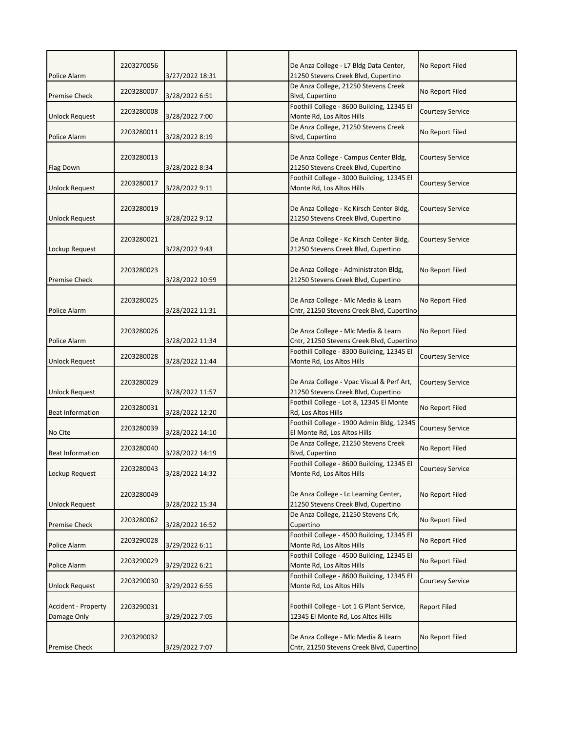|                                               | 2203270056 |                                  | De Anza College - L7 Bldg Data Center,                                                     | No Report Filed         |
|-----------------------------------------------|------------|----------------------------------|--------------------------------------------------------------------------------------------|-------------------------|
| Police Alarm                                  | 2203280007 | 3/27/2022 18:31                  | 21250 Stevens Creek Blvd, Cupertino<br>De Anza College, 21250 Stevens Creek                | No Report Filed         |
| <b>Premise Check</b><br><b>Unlock Request</b> | 2203280008 | 3/28/2022 6:51<br>3/28/2022 7:00 | Blvd, Cupertino<br>Foothill College - 8600 Building, 12345 El<br>Monte Rd, Los Altos Hills | Courtesy Service        |
| Police Alarm                                  | 2203280011 | 3/28/2022 8:19                   | De Anza College, 21250 Stevens Creek<br>Blvd, Cupertino                                    | No Report Filed         |
| Flag Down                                     | 2203280013 | 3/28/2022 8:34                   | De Anza College - Campus Center Bldg,<br>21250 Stevens Creek Blvd, Cupertino               | <b>Courtesy Service</b> |
| Unlock Request                                | 2203280017 | 3/28/2022 9:11                   | Foothill College - 3000 Building, 12345 El<br>Monte Rd, Los Altos Hills                    | <b>Courtesy Service</b> |
| <b>Unlock Request</b>                         | 2203280019 | 3/28/2022 9:12                   | De Anza College - Kc Kirsch Center Bldg,<br>21250 Stevens Creek Blvd, Cupertino            | <b>Courtesy Service</b> |
| Lockup Request                                | 2203280021 | 3/28/2022 9:43                   | De Anza College - Kc Kirsch Center Bldg,<br>21250 Stevens Creek Blvd, Cupertino            | Courtesy Service        |
| <b>Premise Check</b>                          | 2203280023 | 3/28/2022 10:59                  | De Anza College - Administraton Bldg,<br>21250 Stevens Creek Blvd, Cupertino               | No Report Filed         |
| Police Alarm                                  | 2203280025 | 3/28/2022 11:31                  | De Anza College - Mlc Media & Learn<br>Cntr, 21250 Stevens Creek Blvd, Cupertino           | No Report Filed         |
| Police Alarm                                  | 2203280026 | 3/28/2022 11:34                  | De Anza College - Mlc Media & Learn<br>Cntr, 21250 Stevens Creek Blvd, Cupertino           | No Report Filed         |
| Unlock Request                                | 2203280028 | 3/28/2022 11:44                  | Foothill College - 8300 Building, 12345 El<br>Monte Rd, Los Altos Hills                    | <b>Courtesy Service</b> |
| <b>Unlock Request</b>                         | 2203280029 | 3/28/2022 11:57                  | De Anza College - Vpac Visual & Perf Art,<br>21250 Stevens Creek Blvd, Cupertino           | <b>Courtesy Service</b> |
| <b>Beat Information</b>                       | 2203280031 | 3/28/2022 12:20                  | Foothill College - Lot 8, 12345 El Monte<br>Rd, Los Altos Hills                            | No Report Filed         |
| No Cite                                       | 2203280039 | 3/28/2022 14:10                  | Foothill College - 1900 Admin Bldg, 12345<br>El Monte Rd, Los Altos Hills                  | Courtesy Service        |
| <b>Beat Information</b>                       | 2203280040 | 3/28/2022 14:19                  | De Anza College, 21250 Stevens Creek<br>Blvd, Cupertino                                    | No Report Filed         |
| Lockup Request                                | 2203280043 | 3/28/2022 14:32                  | Foothill College - 8600 Building, 12345 El<br>Monte Rd, Los Altos Hills                    | <b>Courtesy Service</b> |
| <b>Unlock Request</b>                         | 2203280049 | 3/28/2022 15:34                  | De Anza College - Lc Learning Center,<br>21250 Stevens Creek Blvd, Cupertino               | No Report Filed         |
| <b>Premise Check</b>                          | 2203280062 | 3/28/2022 16:52                  | De Anza College, 21250 Stevens Crk,<br>Cupertino                                           | No Report Filed         |
| Police Alarm                                  | 2203290028 | 3/29/2022 6:11                   | Foothill College - 4500 Building, 12345 El<br>Monte Rd, Los Altos Hills                    | No Report Filed         |
| Police Alarm                                  | 2203290029 | 3/29/2022 6:21                   | Foothill College - 4500 Building, 12345 El<br>Monte Rd, Los Altos Hills                    | No Report Filed         |
| <b>Unlock Request</b>                         | 2203290030 | 3/29/2022 6:55                   | Foothill College - 8600 Building, 12345 El<br>Monte Rd, Los Altos Hills                    | <b>Courtesy Service</b> |
| Accident - Property<br>Damage Only            | 2203290031 | 3/29/2022 7:05                   | Foothill College - Lot 1 G Plant Service,<br>12345 El Monte Rd, Los Altos Hills            | <b>Report Filed</b>     |
| <b>Premise Check</b>                          | 2203290032 | 3/29/2022 7:07                   | De Anza College - Mlc Media & Learn<br>Cntr, 21250 Stevens Creek Blvd, Cupertino           | No Report Filed         |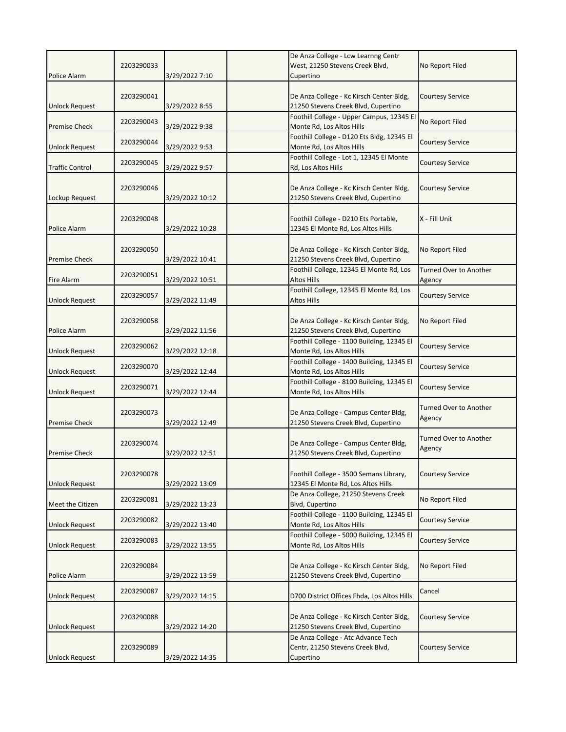| Police Alarm           | 2203290033 | 3/29/2022 7:10  | De Anza College - Lcw Learnng Centr<br>West, 21250 Stevens Creek Blvd,<br>Cupertino | No Report Filed                         |
|------------------------|------------|-----------------|-------------------------------------------------------------------------------------|-----------------------------------------|
| <b>Unlock Request</b>  | 2203290041 | 3/29/2022 8:55  | De Anza College - Kc Kirsch Center Bldg,<br>21250 Stevens Creek Blvd, Cupertino     | <b>Courtesy Service</b>                 |
| <b>Premise Check</b>   | 2203290043 | 3/29/2022 9:38  | Foothill College - Upper Campus, 12345 El<br>Monte Rd, Los Altos Hills              | No Report Filed                         |
| <b>Unlock Request</b>  | 2203290044 | 3/29/2022 9:53  | Foothill College - D120 Ets Bldg, 12345 El<br>Monte Rd, Los Altos Hills             | <b>Courtesy Service</b>                 |
| <b>Traffic Control</b> | 2203290045 | 3/29/2022 9:57  | Foothill College - Lot 1, 12345 El Monte<br>Rd, Los Altos Hills                     | <b>Courtesy Service</b>                 |
| Lockup Request         | 2203290046 | 3/29/2022 10:12 | De Anza College - Kc Kirsch Center Bldg,<br>21250 Stevens Creek Blvd, Cupertino     | Courtesy Service                        |
| Police Alarm           | 2203290048 | 3/29/2022 10:28 | Foothill College - D210 Ets Portable,<br>12345 El Monte Rd, Los Altos Hills         | X - Fill Unit                           |
| <b>Premise Check</b>   | 2203290050 | 3/29/2022 10:41 | De Anza College - Kc Kirsch Center Bldg,<br>21250 Stevens Creek Blvd, Cupertino     | No Report Filed                         |
| Fire Alarm             | 2203290051 | 3/29/2022 10:51 | Foothill College, 12345 El Monte Rd, Los<br><b>Altos Hills</b>                      | <b>Turned Over to Another</b><br>Agency |
| <b>Unlock Request</b>  | 2203290057 | 3/29/2022 11:49 | Foothill College, 12345 El Monte Rd, Los<br><b>Altos Hills</b>                      | <b>Courtesy Service</b>                 |
| Police Alarm           | 2203290058 | 3/29/2022 11:56 | De Anza College - Kc Kirsch Center Bldg,<br>21250 Stevens Creek Blvd, Cupertino     | No Report Filed                         |
| <b>Unlock Request</b>  | 2203290062 | 3/29/2022 12:18 | Foothill College - 1100 Building, 12345 El<br>Monte Rd, Los Altos Hills             | <b>Courtesy Service</b>                 |
| <b>Unlock Request</b>  | 2203290070 | 3/29/2022 12:44 | Foothill College - 1400 Building, 12345 El<br>Monte Rd, Los Altos Hills             | <b>Courtesy Service</b>                 |
| <b>Unlock Request</b>  | 2203290071 | 3/29/2022 12:44 | Foothill College - 8100 Building, 12345 El<br>Monte Rd, Los Altos Hills             | <b>Courtesy Service</b>                 |
| <b>Premise Check</b>   | 2203290073 | 3/29/2022 12:49 | De Anza College - Campus Center Bldg,<br>21250 Stevens Creek Blvd, Cupertino        | <b>Turned Over to Another</b><br>Agency |
| <b>Premise Check</b>   | 2203290074 | 3/29/2022 12:51 | De Anza College - Campus Center Bldg,<br>21250 Stevens Creek Blvd, Cupertino        | <b>Turned Over to Another</b><br>Agency |
| <b>Unlock Request</b>  | 2203290078 | 3/29/2022 13:09 | Foothill College - 3500 Semans Library,<br>12345 El Monte Rd, Los Altos Hills       | <b>Courtesy Service</b>                 |
| Meet the Citizen       | 2203290081 | 3/29/2022 13:23 | De Anza College, 21250 Stevens Creek<br>Blvd, Cupertino                             | No Report Filed                         |
| <b>Unlock Request</b>  | 2203290082 | 3/29/2022 13:40 | Foothill College - 1100 Building, 12345 El<br>Monte Rd, Los Altos Hills             | <b>Courtesy Service</b>                 |
| <b>Unlock Request</b>  | 2203290083 | 3/29/2022 13:55 | Foothill College - 5000 Building, 12345 El<br>Monte Rd, Los Altos Hills             | <b>Courtesy Service</b>                 |
| Police Alarm           | 2203290084 | 3/29/2022 13:59 | De Anza College - Kc Kirsch Center Bldg,<br>21250 Stevens Creek Blvd, Cupertino     | No Report Filed                         |
| Unlock Request         | 2203290087 | 3/29/2022 14:15 | D700 District Offices Fhda, Los Altos Hills                                         | Cancel                                  |
| <b>Unlock Request</b>  | 2203290088 | 3/29/2022 14:20 | De Anza College - Kc Kirsch Center Bldg,<br>21250 Stevens Creek Blvd, Cupertino     | Courtesy Service                        |
| <b>Unlock Request</b>  | 2203290089 | 3/29/2022 14:35 | De Anza College - Atc Advance Tech<br>Centr, 21250 Stevens Creek Blvd,<br>Cupertino | Courtesy Service                        |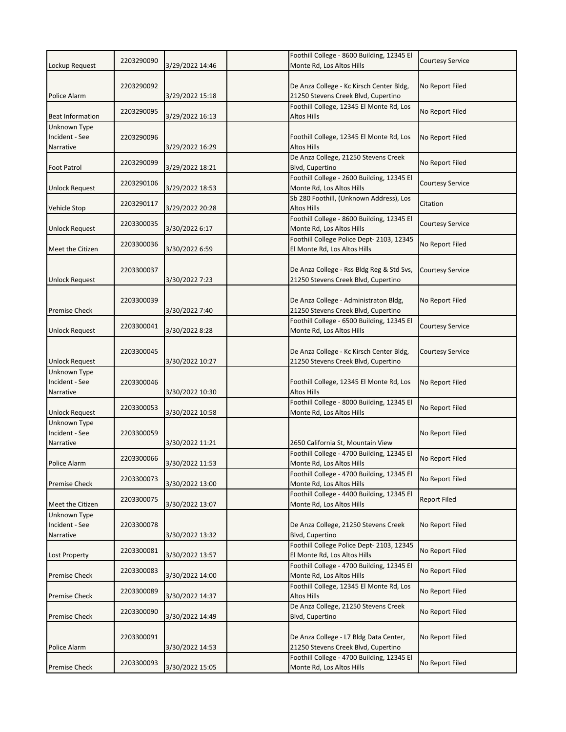|                                             |            |                 | Foothill College - 8600 Building, 12345 El                                       |                         |
|---------------------------------------------|------------|-----------------|----------------------------------------------------------------------------------|-------------------------|
| Lockup Request                              | 2203290090 | 3/29/2022 14:46 | Monte Rd, Los Altos Hills                                                        | Courtesy Service        |
| Police Alarm                                | 2203290092 | 3/29/2022 15:18 | De Anza College - Kc Kirsch Center Bldg,<br>21250 Stevens Creek Blvd, Cupertino  | No Report Filed         |
| <b>Beat Information</b>                     | 2203290095 | 3/29/2022 16:13 | Foothill College, 12345 El Monte Rd, Los<br>Altos Hills                          | No Report Filed         |
| Unknown Type<br>Incident - See<br>Narrative | 2203290096 | 3/29/2022 16:29 | Foothill College, 12345 El Monte Rd, Los<br>Altos Hills                          | No Report Filed         |
| <b>Foot Patrol</b>                          | 2203290099 | 3/29/2022 18:21 | De Anza College, 21250 Stevens Creek<br>Blvd, Cupertino                          | No Report Filed         |
| <b>Unlock Request</b>                       | 2203290106 | 3/29/2022 18:53 | Foothill College - 2600 Building, 12345 El<br>Monte Rd, Los Altos Hills          | <b>Courtesy Service</b> |
| <b>Vehicle Stop</b>                         | 2203290117 | 3/29/2022 20:28 | Sb 280 Foothill, (Unknown Address), Los<br><b>Altos Hills</b>                    | Citation                |
| <b>Unlock Request</b>                       | 2203300035 | 3/30/2022 6:17  | Foothill College - 8600 Building, 12345 El<br>Monte Rd, Los Altos Hills          | <b>Courtesy Service</b> |
| Meet the Citizen                            | 2203300036 | 3/30/2022 6:59  | Foothill College Police Dept-2103, 12345<br>El Monte Rd, Los Altos Hills         | No Report Filed         |
| <b>Unlock Request</b>                       | 2203300037 | 3/30/2022 7:23  | De Anza College - Rss Bldg Reg & Std Svs,<br>21250 Stevens Creek Blvd, Cupertino | <b>Courtesy Service</b> |
| <b>Premise Check</b>                        | 2203300039 | 3/30/2022 7:40  | De Anza College - Administraton Bldg,<br>21250 Stevens Creek Blvd, Cupertino     | No Report Filed         |
| <b>Unlock Request</b>                       | 2203300041 | 3/30/2022 8:28  | Foothill College - 6500 Building, 12345 El<br>Monte Rd, Los Altos Hills          | Courtesy Service        |
| <b>Unlock Request</b>                       | 2203300045 | 3/30/2022 10:27 | De Anza College - Kc Kirsch Center Bldg,<br>21250 Stevens Creek Blvd, Cupertino  | Courtesy Service        |
| Unknown Type<br>Incident - See<br>Narrative | 2203300046 | 3/30/2022 10:30 | Foothill College, 12345 El Monte Rd, Los<br>Altos Hills                          | No Report Filed         |
| <b>Unlock Request</b>                       | 2203300053 | 3/30/2022 10:58 | Foothill College - 8000 Building, 12345 El<br>Monte Rd, Los Altos Hills          | No Report Filed         |
| Unknown Type<br>Incident - See<br>Narrative | 2203300059 | 3/30/2022 11:21 | 2650 California St, Mountain View                                                | No Report Filed         |
| Police Alarm                                | 2203300066 | 3/30/2022 11:53 | Foothill College - 4700 Building, 12345 El<br>Monte Rd, Los Altos Hills          | No Report Filed         |
| <b>Premise Check</b>                        | 2203300073 | 3/30/2022 13:00 | Foothill College - 4700 Building, 12345 El<br>Monte Rd, Los Altos Hills          | No Report Filed         |
| Meet the Citizen                            | 2203300075 | 3/30/2022 13:07 | Foothill College - 4400 Building, 12345 El<br>Monte Rd, Los Altos Hills          | <b>Report Filed</b>     |
| Unknown Type<br>Incident - See<br>Narrative | 2203300078 | 3/30/2022 13:32 | De Anza College, 21250 Stevens Creek<br>Blvd, Cupertino                          | No Report Filed         |
| Lost Property                               | 2203300081 | 3/30/2022 13:57 | Foothill College Police Dept- 2103, 12345<br>El Monte Rd, Los Altos Hills        | No Report Filed         |
| <b>Premise Check</b>                        | 2203300083 | 3/30/2022 14:00 | Foothill College - 4700 Building, 12345 El<br>Monte Rd, Los Altos Hills          | No Report Filed         |
| <b>Premise Check</b>                        | 2203300089 | 3/30/2022 14:37 | Foothill College, 12345 El Monte Rd, Los<br>Altos Hills                          | No Report Filed         |
| <b>Premise Check</b>                        | 2203300090 | 3/30/2022 14:49 | De Anza College, 21250 Stevens Creek<br>Blvd, Cupertino                          | No Report Filed         |
| Police Alarm                                | 2203300091 | 3/30/2022 14:53 | De Anza College - L7 Bldg Data Center,<br>21250 Stevens Creek Blvd, Cupertino    | No Report Filed         |
| <b>Premise Check</b>                        | 2203300093 | 3/30/2022 15:05 | Foothill College - 4700 Building, 12345 El<br>Monte Rd, Los Altos Hills          | No Report Filed         |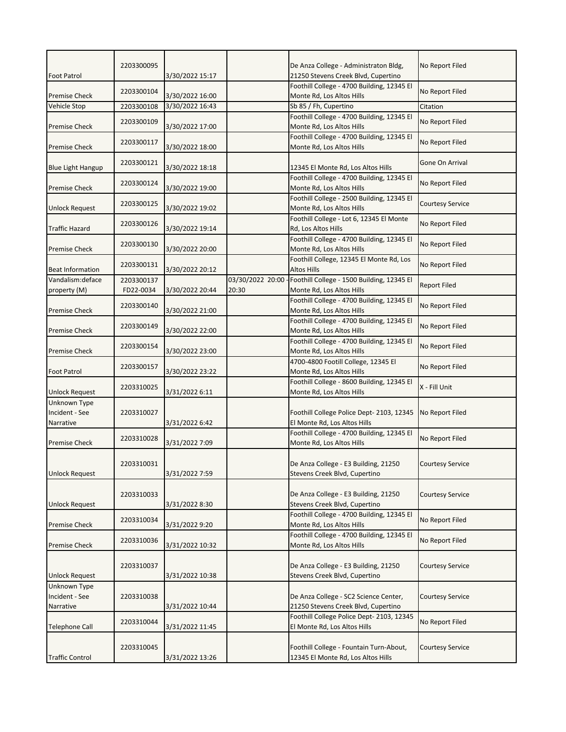| <b>Foot Patrol</b>                          | 2203300095              | 3/30/2022 15:17 |                           | De Anza College - Administraton Bldg,<br>21250 Stevens Creek Blvd, Cupertino  | No Report Filed         |
|---------------------------------------------|-------------------------|-----------------|---------------------------|-------------------------------------------------------------------------------|-------------------------|
| <b>Premise Check</b>                        | 2203300104              | 3/30/2022 16:00 |                           | Foothill College - 4700 Building, 12345 El<br>Monte Rd, Los Altos Hills       | No Report Filed         |
| <b>Vehicle Stop</b>                         | 2203300108              | 3/30/2022 16:43 |                           | Sb 85 / Fh, Cupertino                                                         | Citation                |
| <b>Premise Check</b>                        | 2203300109              | 3/30/2022 17:00 |                           | Foothill College - 4700 Building, 12345 El<br>Monte Rd, Los Altos Hills       | No Report Filed         |
| <b>Premise Check</b>                        | 2203300117              | 3/30/2022 18:00 |                           | Foothill College - 4700 Building, 12345 El<br>Monte Rd, Los Altos Hills       | No Report Filed         |
| <b>Blue Light Hangup</b>                    | 2203300121              | 3/30/2022 18:18 |                           | 12345 El Monte Rd, Los Altos Hills                                            | Gone On Arrival         |
| <b>Premise Check</b>                        | 2203300124              | 3/30/2022 19:00 |                           | Foothill College - 4700 Building, 12345 El<br>Monte Rd, Los Altos Hills       | No Report Filed         |
| <b>Unlock Request</b>                       | 2203300125              | 3/30/2022 19:02 |                           | Foothill College - 2500 Building, 12345 El<br>Monte Rd, Los Altos Hills       | <b>Courtesy Service</b> |
| <b>Traffic Hazard</b>                       | 2203300126              | 3/30/2022 19:14 |                           | Foothill College - Lot 6, 12345 El Monte<br>Rd, Los Altos Hills               | No Report Filed         |
| <b>Premise Check</b>                        | 2203300130              | 3/30/2022 20:00 |                           | Foothill College - 4700 Building, 12345 El<br>Monte Rd, Los Altos Hills       | No Report Filed         |
| <b>Beat Information</b>                     | 2203300131              | 3/30/2022 20:12 |                           | Foothill College, 12345 El Monte Rd, Los<br><b>Altos Hills</b>                | No Report Filed         |
| Vandalism: deface<br>property (M)           | 2203300137<br>FD22-0034 | 3/30/2022 20:44 | 03/30/2022 20:00<br>20:30 | Foothill College - 1500 Building, 12345 El<br>Monte Rd, Los Altos Hills       | <b>Report Filed</b>     |
| <b>Premise Check</b>                        | 2203300140              | 3/30/2022 21:00 |                           | Foothill College - 4700 Building, 12345 El<br>Monte Rd, Los Altos Hills       | No Report Filed         |
| <b>Premise Check</b>                        | 2203300149              | 3/30/2022 22:00 |                           | Foothill College - 4700 Building, 12345 El<br>Monte Rd, Los Altos Hills       | No Report Filed         |
| <b>Premise Check</b>                        | 2203300154              | 3/30/2022 23:00 |                           | Foothill College - 4700 Building, 12345 El<br>Monte Rd, Los Altos Hills       | No Report Filed         |
| <b>Foot Patrol</b>                          | 2203300157              | 3/30/2022 23:22 |                           | 4700-4800 Footill College, 12345 El<br>Monte Rd, Los Altos Hills              | No Report Filed         |
| Unlock Request                              | 2203310025              | 3/31/2022 6:11  |                           | Foothill College - 8600 Building, 12345 El<br>Monte Rd, Los Altos Hills       | X - Fill Unit           |
| Unknown Type<br>Incident - See<br>Narrative | 2203310027              | 3/31/2022 6:42  |                           | Foothill College Police Dept-2103, 12345<br>El Monte Rd, Los Altos Hills      | No Report Filed         |
| <b>Premise Check</b>                        | 2203310028              | 3/31/2022 7:09  |                           | Foothill College - 4700 Building, 12345 El<br>Monte Rd, Los Altos Hills       | No Report Filed         |
| <b>Unlock Request</b>                       | 2203310031              | 3/31/2022 7:59  |                           | De Anza College - E3 Building, 21250<br>Stevens Creek Blvd, Cupertino         | <b>Courtesy Service</b> |
| <b>Unlock Request</b>                       | 2203310033              | 3/31/2022 8:30  |                           | De Anza College - E3 Building, 21250<br>Stevens Creek Blvd, Cupertino         | <b>Courtesy Service</b> |
| <b>Premise Check</b>                        | 2203310034              | 3/31/2022 9:20  |                           | Foothill College - 4700 Building, 12345 El<br>Monte Rd, Los Altos Hills       | No Report Filed         |
| <b>Premise Check</b>                        | 2203310036              | 3/31/2022 10:32 |                           | Foothill College - 4700 Building, 12345 El<br>Monte Rd, Los Altos Hills       | No Report Filed         |
| <b>Unlock Request</b>                       | 2203310037              | 3/31/2022 10:38 |                           | De Anza College - E3 Building, 21250<br>Stevens Creek Blvd, Cupertino         | <b>Courtesy Service</b> |
| Unknown Type<br>Incident - See<br>Narrative | 2203310038              | 3/31/2022 10:44 |                           | De Anza College - SC2 Science Center,<br>21250 Stevens Creek Blvd, Cupertino  | Courtesy Service        |
| <b>Telephone Call</b>                       | 2203310044              | 3/31/2022 11:45 |                           | Foothill College Police Dept- 2103, 12345<br>El Monte Rd, Los Altos Hills     | No Report Filed         |
| <b>Traffic Control</b>                      | 2203310045              | 3/31/2022 13:26 |                           | Foothill College - Fountain Turn-About,<br>12345 El Monte Rd, Los Altos Hills | <b>Courtesy Service</b> |
|                                             |                         |                 |                           |                                                                               |                         |